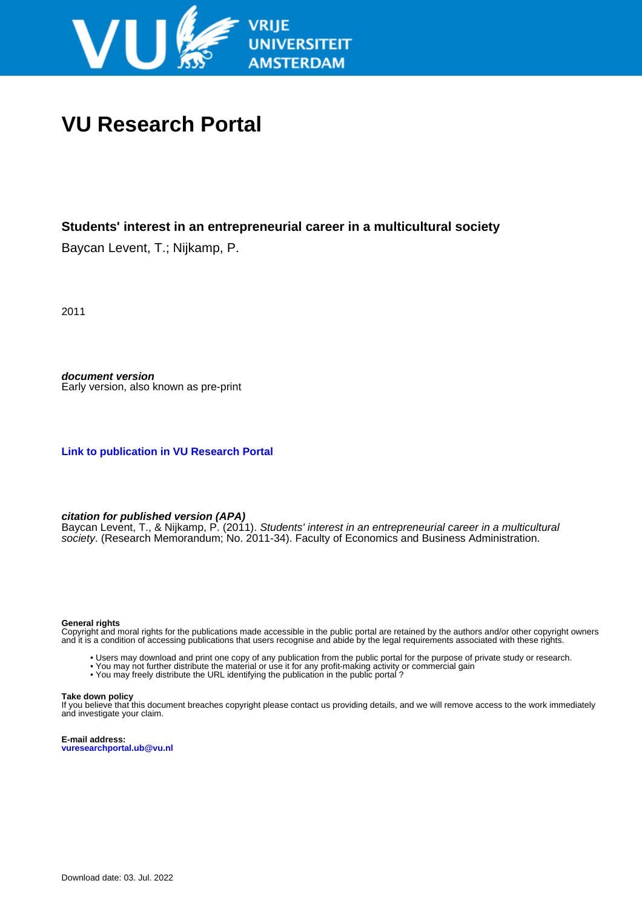

# **VU Research Portal**

# **Students' interest in an entrepreneurial career in a multicultural society**

Baycan Levent, T.; Nijkamp, P.

2011

**document version** Early version, also known as pre-print

**[Link to publication in VU Research Portal](https://research.vu.nl/en/publications/bd35db24-b624-4d58-b344-dfc5717c69e1)**

#### **citation for published version (APA)**

Baycan Levent, T., & Nijkamp, P. (2011). Students' interest in an entrepreneurial career in a multicultural society. (Research Memorandum; No. 2011-34). Faculty of Economics and Business Administration.

#### **General rights**

Copyright and moral rights for the publications made accessible in the public portal are retained by the authors and/or other copyright owners and it is a condition of accessing publications that users recognise and abide by the legal requirements associated with these rights.

- Users may download and print one copy of any publication from the public portal for the purpose of private study or research.
- You may not further distribute the material or use it for any profit-making activity or commercial gain
- You may freely distribute the URL identifying the publication in the public portal?

#### **Take down policy**

If you believe that this document breaches copyright please contact us providing details, and we will remove access to the work immediately and investigate your claim.

**E-mail address: vuresearchportal.ub@vu.nl**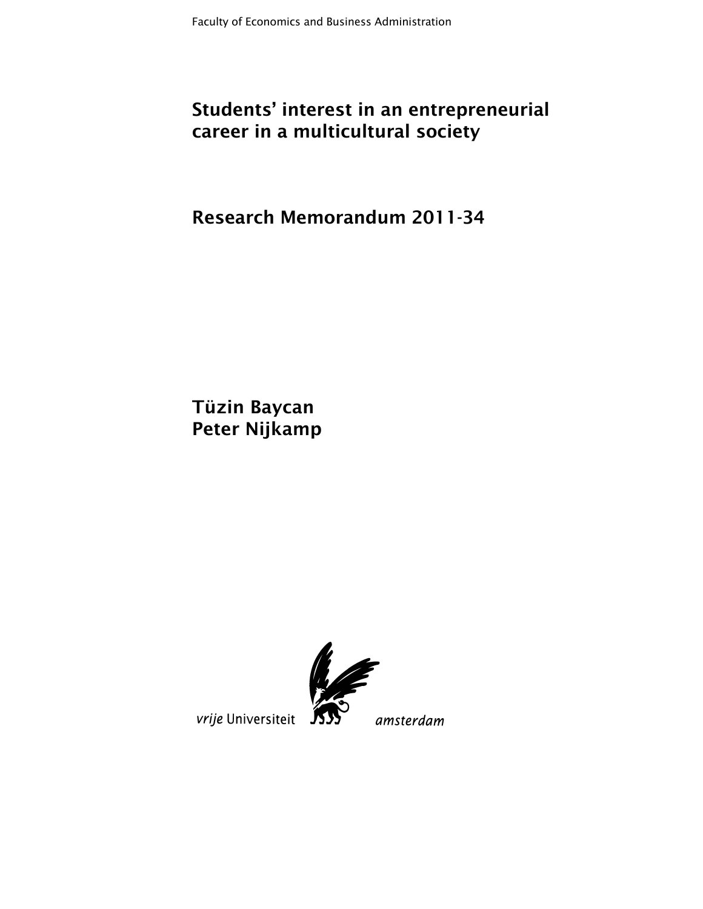# **Students' interest in an entrepreneurial career in a multicultural society**

**Research Memorandum 2011-34** 

**Tüzin Baycan Peter Nijkamp** 



vrije Universiteit

amsterdam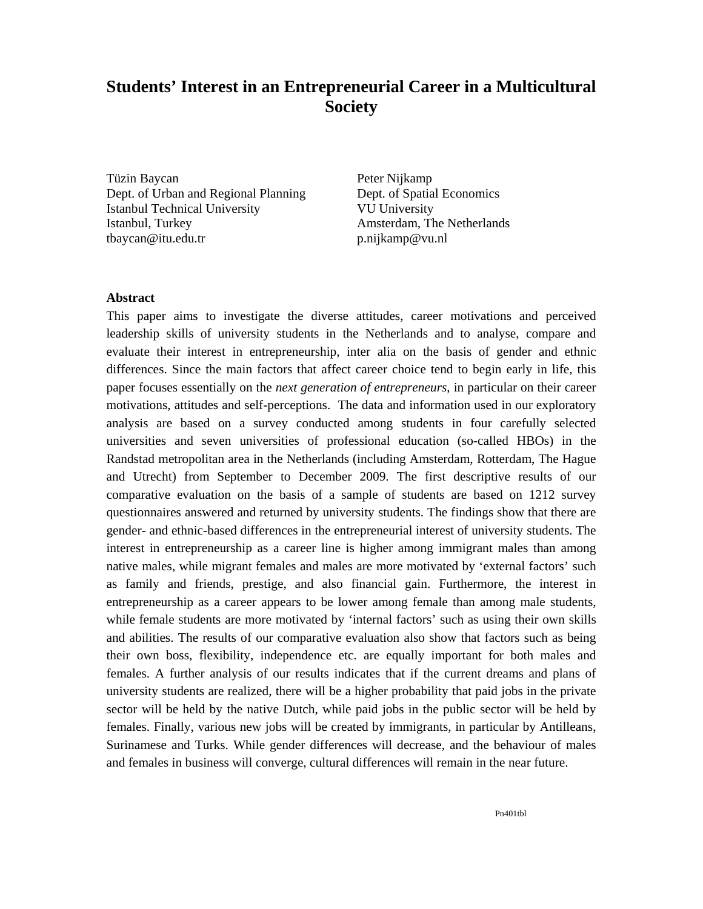# **Students' Interest in an Entrepreneurial Career in a Multicultural Society**

Tüzin Baycan Dept. of Urban and Regional Planning Istanbul Technical University Istanbul, Turkey tbaycan@itu.edu.tr

Peter Nijkamp Dept. of Spatial Economics VU University Amsterdam, The Netherlands p.nijkamp@vu.nl

# **Abstract**

This paper aims to investigate the diverse attitudes, career motivations and perceived leadership skills of university students in the Netherlands and to analyse, compare and evaluate their interest in entrepreneurship, inter alia on the basis of gender and ethnic differences. Since the main factors that affect career choice tend to begin early in life, this paper focuses essentially on the *next generation of entrepreneurs*, in particular on their career motivations, attitudes and self-perceptions. The data and information used in our exploratory analysis are based on a survey conducted among students in four carefully selected universities and seven universities of professional education (so-called HBOs) in the Randstad metropolitan area in the Netherlands (including Amsterdam, Rotterdam, The Hague and Utrecht) from September to December 2009. The first descriptive results of our comparative evaluation on the basis of a sample of students are based on 1212 survey questionnaires answered and returned by university students. The findings show that there are gender- and ethnic-based differences in the entrepreneurial interest of university students. The interest in entrepreneurship as a career line is higher among immigrant males than among native males, while migrant females and males are more motivated by 'external factors' such as family and friends, prestige, and also financial gain. Furthermore, the interest in entrepreneurship as a career appears to be lower among female than among male students, while female students are more motivated by 'internal factors' such as using their own skills and abilities. The results of our comparative evaluation also show that factors such as being their own boss, flexibility, independence etc. are equally important for both males and females. A further analysis of our results indicates that if the current dreams and plans of university students are realized, there will be a higher probability that paid jobs in the private sector will be held by the native Dutch, while paid jobs in the public sector will be held by females. Finally, various new jobs will be created by immigrants, in particular by Antilleans, Surinamese and Turks. While gender differences will decrease, and the behaviour of males and females in business will converge, cultural differences will remain in the near future.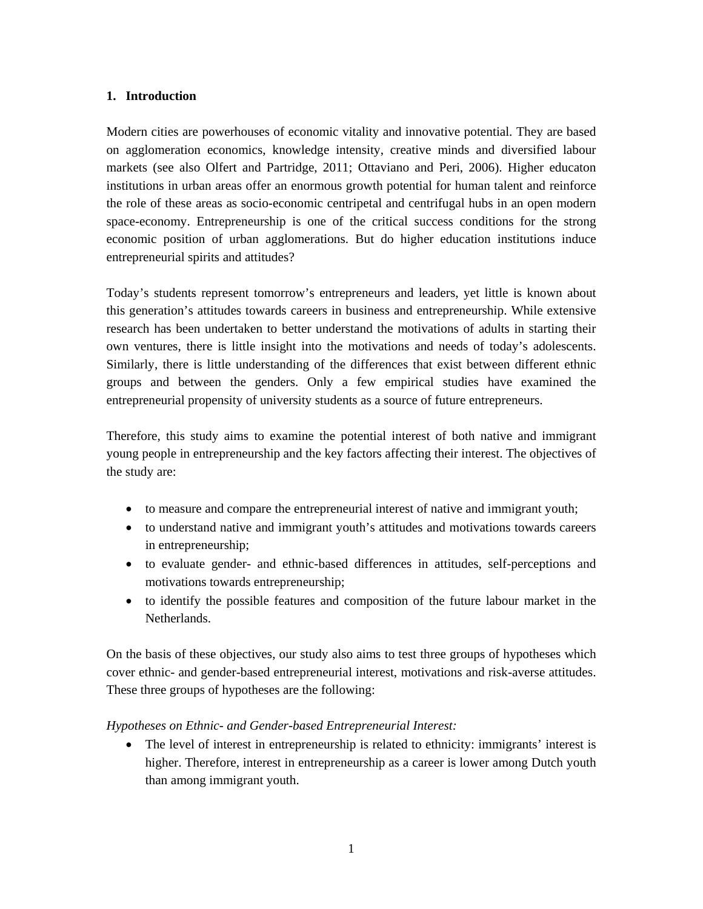# **1. Introduction**

Modern cities are powerhouses of economic vitality and innovative potential. They are based on agglomeration economics, knowledge intensity, creative minds and diversified labour markets (see also Olfert and Partridge, 2011; Ottaviano and Peri, 2006). Higher educaton institutions in urban areas offer an enormous growth potential for human talent and reinforce the role of these areas as socio-economic centripetal and centrifugal hubs in an open modern space-economy. Entrepreneurship is one of the critical success conditions for the strong economic position of urban agglomerations. But do higher education institutions induce entrepreneurial spirits and attitudes?

Today's students represent tomorrow's entrepreneurs and leaders, yet little is known about this generation's attitudes towards careers in business and entrepreneurship. While extensive research has been undertaken to better understand the motivations of adults in starting their own ventures, there is little insight into the motivations and needs of today's adolescents. Similarly, there is little understanding of the differences that exist between different ethnic groups and between the genders. Only a few empirical studies have examined the entrepreneurial propensity of university students as a source of future entrepreneurs.

Therefore, this study aims to examine the potential interest of both native and immigrant young people in entrepreneurship and the key factors affecting their interest. The objectives of the study are:

- to measure and compare the entrepreneurial interest of native and immigrant youth;
- to understand native and immigrant youth's attitudes and motivations towards careers in entrepreneurship;
- to evaluate gender- and ethnic-based differences in attitudes, self-perceptions and motivations towards entrepreneurship;
- to identify the possible features and composition of the future labour market in the Netherlands.

On the basis of these objectives, our study also aims to test three groups of hypotheses which cover ethnic- and gender-based entrepreneurial interest, motivations and risk-averse attitudes. These three groups of hypotheses are the following:

*Hypotheses on Ethnic- and Gender-based Entrepreneurial Interest:* 

 The level of interest in entrepreneurship is related to ethnicity: immigrants' interest is higher. Therefore, interest in entrepreneurship as a career is lower among Dutch youth than among immigrant youth.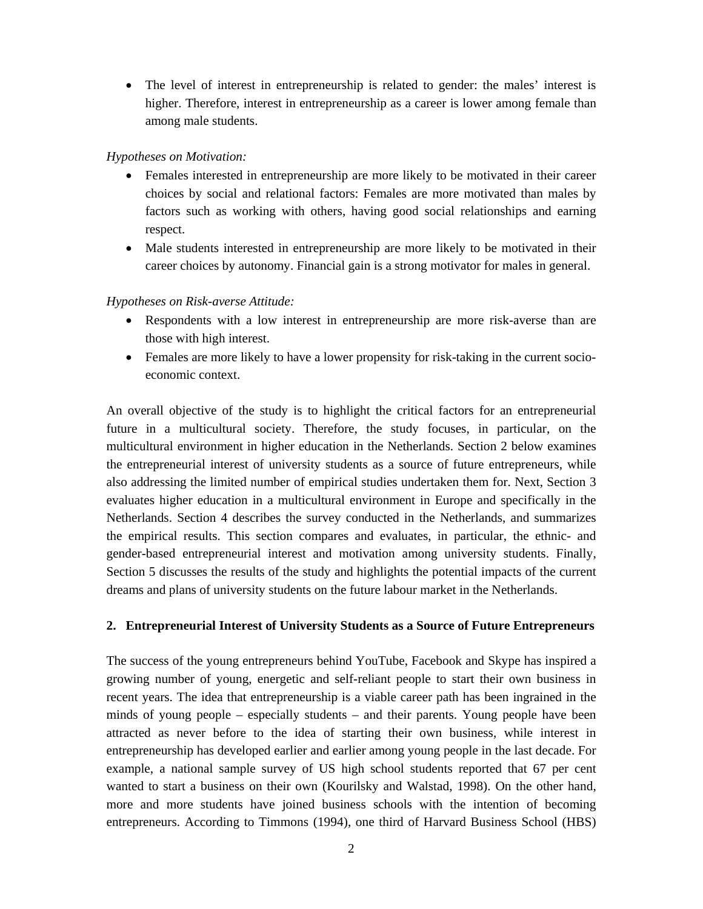• The level of interest in entrepreneurship is related to gender: the males' interest is higher. Therefore, interest in entrepreneurship as a career is lower among female than among male students.

# *Hypotheses on Motivation:*

- Females interested in entrepreneurship are more likely to be motivated in their career choices by social and relational factors: Females are more motivated than males by factors such as working with others, having good social relationships and earning respect.
- Male students interested in entrepreneurship are more likely to be motivated in their career choices by autonomy. Financial gain is a strong motivator for males in general.

*Hypotheses on Risk-averse Attitude:* 

- Respondents with a low interest in entrepreneurship are more risk-averse than are those with high interest.
- Females are more likely to have a lower propensity for risk-taking in the current socioeconomic context.

An overall objective of the study is to highlight the critical factors for an entrepreneurial future in a multicultural society. Therefore, the study focuses, in particular, on the multicultural environment in higher education in the Netherlands. Section 2 below examines the entrepreneurial interest of university students as a source of future entrepreneurs, while also addressing the limited number of empirical studies undertaken them for. Next, Section 3 evaluates higher education in a multicultural environment in Europe and specifically in the Netherlands. Section 4 describes the survey conducted in the Netherlands, and summarizes the empirical results. This section compares and evaluates, in particular, the ethnic- and gender-based entrepreneurial interest and motivation among university students. Finally, Section 5 discusses the results of the study and highlights the potential impacts of the current dreams and plans of university students on the future labour market in the Netherlands.

# **2. Entrepreneurial Interest of University Students as a Source of Future Entrepreneurs**

The success of the young entrepreneurs behind YouTube, Facebook and Skype has inspired a growing number of young, energetic and self-reliant people to start their own business in recent years. The idea that entrepreneurship is a viable career path has been ingrained in the minds of young people – especially students – and their parents. Young people have been attracted as never before to the idea of starting their own business, while interest in entrepreneurship has developed earlier and earlier among young people in the last decade. For example, a national sample survey of US high school students reported that 67 per cent wanted to start a business on their own (Kourilsky and Walstad, 1998). On the other hand, more and more students have joined business schools with the intention of becoming entrepreneurs. According to Timmons (1994), one third of Harvard Business School (HBS)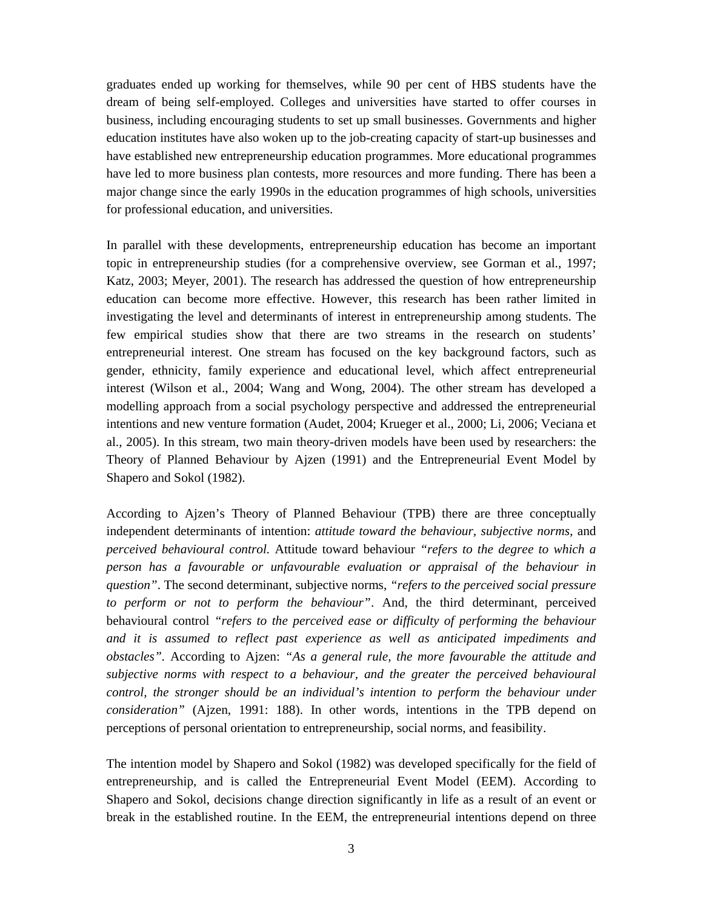graduates ended up working for themselves, while 90 per cent of HBS students have the dream of being self-employed. Colleges and universities have started to offer courses in business, including encouraging students to set up small businesses. Governments and higher education institutes have also woken up to the job-creating capacity of start-up businesses and have established new entrepreneurship education programmes. More educational programmes have led to more business plan contests, more resources and more funding. There has been a major change since the early 1990s in the education programmes of high schools, universities for professional education, and universities.

In parallel with these developments, entrepreneurship education has become an important topic in entrepreneurship studies (for a comprehensive overview, see Gorman et al., 1997; Katz, 2003; Meyer, 2001). The research has addressed the question of how entrepreneurship education can become more effective. However, this research has been rather limited in investigating the level and determinants of interest in entrepreneurship among students. The few empirical studies show that there are two streams in the research on students' entrepreneurial interest. One stream has focused on the key background factors, such as gender, ethnicity, family experience and educational level, which affect entrepreneurial interest (Wilson et al., 2004; Wang and Wong, 2004). The other stream has developed a modelling approach from a social psychology perspective and addressed the entrepreneurial intentions and new venture formation (Audet, 2004; Krueger et al., 2000; Li, 2006; Veciana et al., 2005). In this stream, two main theory-driven models have been used by researchers: the Theory of Planned Behaviour by Ajzen (1991) and the Entrepreneurial Event Model by Shapero and Sokol (1982).

According to Ajzen's Theory of Planned Behaviour (TPB) there are three conceptually independent determinants of intention: *attitude toward the behaviour, subjective norms,* and *perceived behavioural control.* Attitude toward behaviour *"refers to the degree to which a person has a favourable or unfavourable evaluation or appraisal of the behaviour in question"*. The second determinant, subjective norms, *"refers to the perceived social pressure to perform or not to perform the behaviour"*. And, the third determinant, perceived behavioural control *"refers to the perceived ease or difficulty of performing the behaviour and it is assumed to reflect past experience as well as anticipated impediments and obstacles".* According to Ajzen: *"As a general rule, the more favourable the attitude and subjective norms with respect to a behaviour, and the greater the perceived behavioural control, the stronger should be an individual's intention to perform the behaviour under consideration"* (Ajzen, 1991: 188). In other words, intentions in the TPB depend on perceptions of personal orientation to entrepreneurship, social norms, and feasibility.

The intention model by Shapero and Sokol (1982) was developed specifically for the field of entrepreneurship, and is called the Entrepreneurial Event Model (EEM). According to Shapero and Sokol, decisions change direction significantly in life as a result of an event or break in the established routine. In the EEM, the entrepreneurial intentions depend on three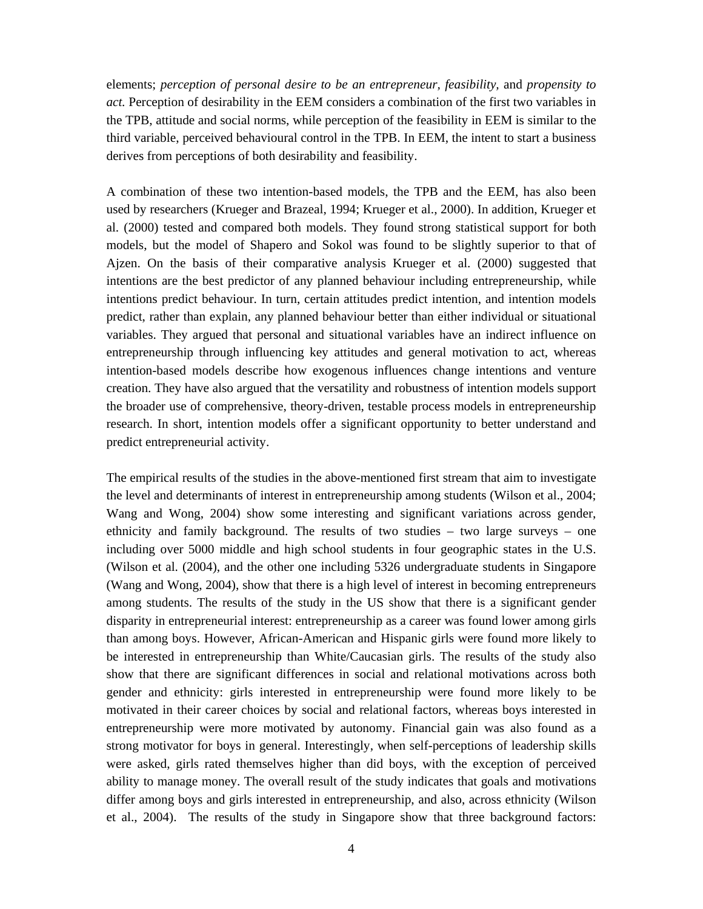elements; *perception of personal desire to be an entrepreneur, feasibility,* and *propensity to act.* Perception of desirability in the EEM considers a combination of the first two variables in the TPB, attitude and social norms, while perception of the feasibility in EEM is similar to the third variable, perceived behavioural control in the TPB. In EEM, the intent to start a business derives from perceptions of both desirability and feasibility.

A combination of these two intention-based models, the TPB and the EEM, has also been used by researchers (Krueger and Brazeal, 1994; Krueger et al., 2000). In addition, Krueger et al. (2000) tested and compared both models. They found strong statistical support for both models, but the model of Shapero and Sokol was found to be slightly superior to that of Ajzen. On the basis of their comparative analysis Krueger et al. (2000) suggested that intentions are the best predictor of any planned behaviour including entrepreneurship, while intentions predict behaviour. In turn, certain attitudes predict intention, and intention models predict, rather than explain, any planned behaviour better than either individual or situational variables. They argued that personal and situational variables have an indirect influence on entrepreneurship through influencing key attitudes and general motivation to act, whereas intention-based models describe how exogenous influences change intentions and venture creation. They have also argued that the versatility and robustness of intention models support the broader use of comprehensive, theory-driven, testable process models in entrepreneurship research. In short, intention models offer a significant opportunity to better understand and predict entrepreneurial activity.

The empirical results of the studies in the above-mentioned first stream that aim to investigate the level and determinants of interest in entrepreneurship among students (Wilson et al., 2004; Wang and Wong, 2004) show some interesting and significant variations across gender, ethnicity and family background. The results of two studies – two large surveys – one including over 5000 middle and high school students in four geographic states in the U.S. (Wilson et al. (2004), and the other one including 5326 undergraduate students in Singapore (Wang and Wong, 2004), show that there is a high level of interest in becoming entrepreneurs among students. The results of the study in the US show that there is a significant gender disparity in entrepreneurial interest: entrepreneurship as a career was found lower among girls than among boys. However, African-American and Hispanic girls were found more likely to be interested in entrepreneurship than White/Caucasian girls. The results of the study also show that there are significant differences in social and relational motivations across both gender and ethnicity: girls interested in entrepreneurship were found more likely to be motivated in their career choices by social and relational factors, whereas boys interested in entrepreneurship were more motivated by autonomy. Financial gain was also found as a strong motivator for boys in general. Interestingly, when self-perceptions of leadership skills were asked, girls rated themselves higher than did boys, with the exception of perceived ability to manage money. The overall result of the study indicates that goals and motivations differ among boys and girls interested in entrepreneurship, and also, across ethnicity (Wilson et al., 2004). The results of the study in Singapore show that three background factors: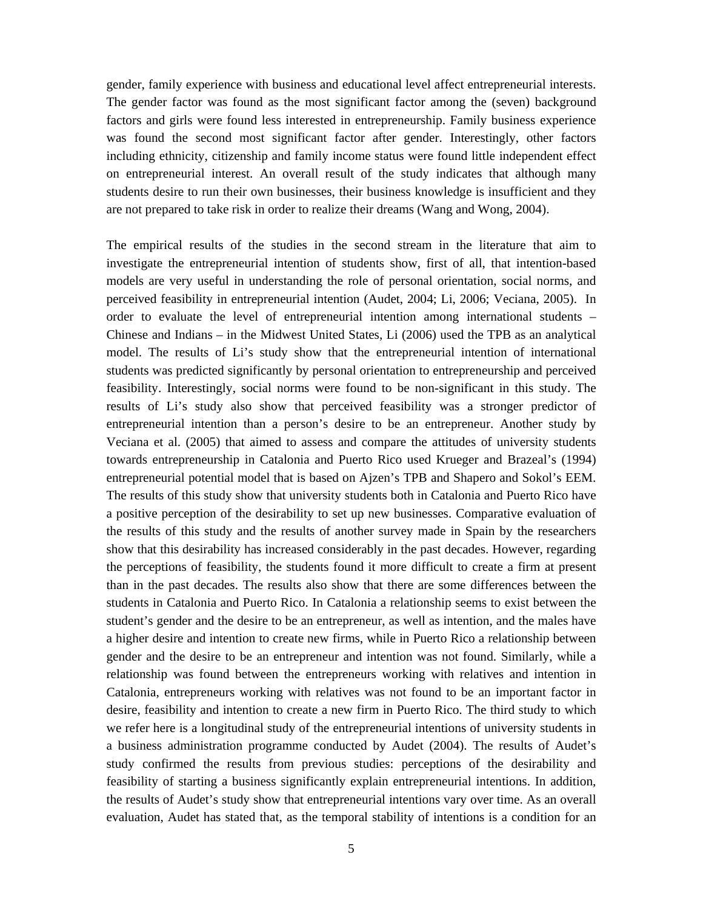gender, family experience with business and educational level affect entrepreneurial interests. The gender factor was found as the most significant factor among the (seven) background factors and girls were found less interested in entrepreneurship. Family business experience was found the second most significant factor after gender. Interestingly, other factors including ethnicity, citizenship and family income status were found little independent effect on entrepreneurial interest. An overall result of the study indicates that although many students desire to run their own businesses, their business knowledge is insufficient and they are not prepared to take risk in order to realize their dreams (Wang and Wong, 2004).

The empirical results of the studies in the second stream in the literature that aim to investigate the entrepreneurial intention of students show, first of all, that intention-based models are very useful in understanding the role of personal orientation, social norms, and perceived feasibility in entrepreneurial intention (Audet, 2004; Li, 2006; Veciana, 2005). In order to evaluate the level of entrepreneurial intention among international students – Chinese and Indians – in the Midwest United States, Li (2006) used the TPB as an analytical model. The results of Li's study show that the entrepreneurial intention of international students was predicted significantly by personal orientation to entrepreneurship and perceived feasibility. Interestingly, social norms were found to be non-significant in this study. The results of Li's study also show that perceived feasibility was a stronger predictor of entrepreneurial intention than a person's desire to be an entrepreneur. Another study by Veciana et al. (2005) that aimed to assess and compare the attitudes of university students towards entrepreneurship in Catalonia and Puerto Rico used Krueger and Brazeal's (1994) entrepreneurial potential model that is based on Ajzen's TPB and Shapero and Sokol's EEM. The results of this study show that university students both in Catalonia and Puerto Rico have a positive perception of the desirability to set up new businesses. Comparative evaluation of the results of this study and the results of another survey made in Spain by the researchers show that this desirability has increased considerably in the past decades. However, regarding the perceptions of feasibility, the students found it more difficult to create a firm at present than in the past decades. The results also show that there are some differences between the students in Catalonia and Puerto Rico. In Catalonia a relationship seems to exist between the student's gender and the desire to be an entrepreneur, as well as intention, and the males have a higher desire and intention to create new firms, while in Puerto Rico a relationship between gender and the desire to be an entrepreneur and intention was not found. Similarly, while a relationship was found between the entrepreneurs working with relatives and intention in Catalonia, entrepreneurs working with relatives was not found to be an important factor in desire, feasibility and intention to create a new firm in Puerto Rico. The third study to which we refer here is a longitudinal study of the entrepreneurial intentions of university students in a business administration programme conducted by Audet (2004). The results of Audet's study confirmed the results from previous studies: perceptions of the desirability and feasibility of starting a business significantly explain entrepreneurial intentions. In addition, the results of Audet's study show that entrepreneurial intentions vary over time. As an overall evaluation, Audet has stated that, as the temporal stability of intentions is a condition for an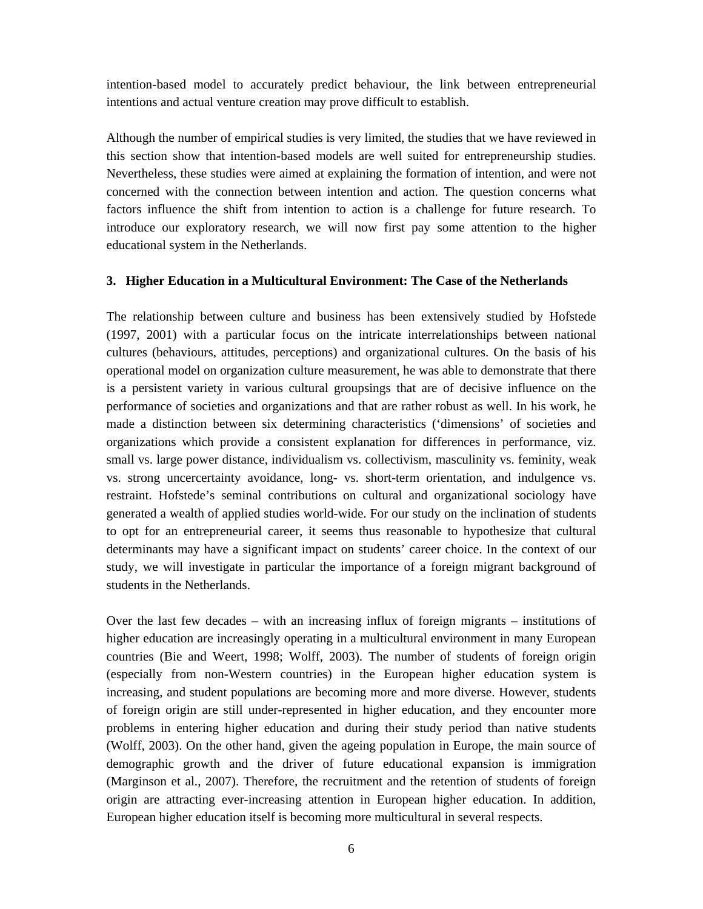intention-based model to accurately predict behaviour, the link between entrepreneurial intentions and actual venture creation may prove difficult to establish.

Although the number of empirical studies is very limited, the studies that we have reviewed in this section show that intention-based models are well suited for entrepreneurship studies. Nevertheless, these studies were aimed at explaining the formation of intention, and were not concerned with the connection between intention and action. The question concerns what factors influence the shift from intention to action is a challenge for future research. To introduce our exploratory research, we will now first pay some attention to the higher educational system in the Netherlands.

# **3. Higher Education in a Multicultural Environment: The Case of the Netherlands**

The relationship between culture and business has been extensively studied by Hofstede (1997, 2001) with a particular focus on the intricate interrelationships between national cultures (behaviours, attitudes, perceptions) and organizational cultures. On the basis of his operational model on organization culture measurement, he was able to demonstrate that there is a persistent variety in various cultural groupsings that are of decisive influence on the performance of societies and organizations and that are rather robust as well. In his work, he made a distinction between six determining characteristics ('dimensions' of societies and organizations which provide a consistent explanation for differences in performance, viz. small vs. large power distance, individualism vs. collectivism, masculinity vs. feminity, weak vs. strong uncercertainty avoidance, long- vs. short-term orientation, and indulgence vs. restraint. Hofstede's seminal contributions on cultural and organizational sociology have generated a wealth of applied studies world-wide. For our study on the inclination of students to opt for an entrepreneurial career, it seems thus reasonable to hypothesize that cultural determinants may have a significant impact on students' career choice. In the context of our study, we will investigate in particular the importance of a foreign migrant background of students in the Netherlands.

Over the last few decades – with an increasing influx of foreign migrants – institutions of higher education are increasingly operating in a multicultural environment in many European countries (Bie and Weert, 1998; Wolff, 2003). The number of students of foreign origin (especially from non-Western countries) in the European higher education system is increasing, and student populations are becoming more and more diverse. However, students of foreign origin are still under-represented in higher education, and they encounter more problems in entering higher education and during their study period than native students (Wolff, 2003). On the other hand, given the ageing population in Europe, the main source of demographic growth and the driver of future educational expansion is immigration (Marginson et al., 2007). Therefore, the recruitment and the retention of students of foreign origin are attracting ever-increasing attention in European higher education. In addition, European higher education itself is becoming more multicultural in several respects.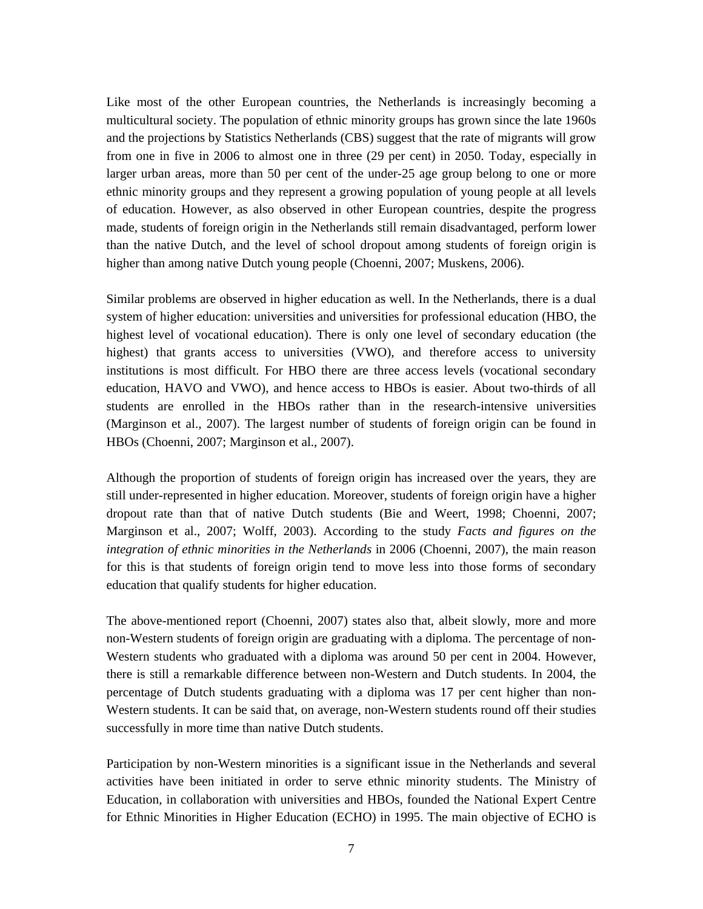Like most of the other European countries, the Netherlands is increasingly becoming a multicultural society. The population of ethnic minority groups has grown since the late 1960s and the projections by Statistics Netherlands (CBS) suggest that the rate of migrants will grow from one in five in 2006 to almost one in three (29 per cent) in 2050. Today, especially in larger urban areas, more than 50 per cent of the under-25 age group belong to one or more ethnic minority groups and they represent a growing population of young people at all levels of education. However, as also observed in other European countries, despite the progress made, students of foreign origin in the Netherlands still remain disadvantaged, perform lower than the native Dutch, and the level of school dropout among students of foreign origin is higher than among native Dutch young people (Choenni, 2007; Muskens, 2006).

Similar problems are observed in higher education as well. In the Netherlands, there is a dual system of higher education: universities and universities for professional education (HBO, the highest level of vocational education). There is only one level of secondary education (the highest) that grants access to universities (VWO), and therefore access to university institutions is most difficult. For HBO there are three access levels (vocational secondary education, HAVO and VWO), and hence access to HBOs is easier. About two-thirds of all students are enrolled in the HBOs rather than in the research-intensive universities (Marginson et al., 2007). The largest number of students of foreign origin can be found in HBOs (Choenni, 2007; Marginson et al., 2007).

Although the proportion of students of foreign origin has increased over the years, they are still under-represented in higher education. Moreover, students of foreign origin have a higher dropout rate than that of native Dutch students (Bie and Weert, 1998; Choenni, 2007; Marginson et al., 2007; Wolff, 2003). According to the study *Facts and figures on the integration of ethnic minorities in the Netherlands* in 2006 (Choenni, 2007), the main reason for this is that students of foreign origin tend to move less into those forms of secondary education that qualify students for higher education.

The above-mentioned report (Choenni, 2007) states also that, albeit slowly, more and more non-Western students of foreign origin are graduating with a diploma. The percentage of non-Western students who graduated with a diploma was around 50 per cent in 2004. However, there is still a remarkable difference between non-Western and Dutch students. In 2004, the percentage of Dutch students graduating with a diploma was 17 per cent higher than non-Western students. It can be said that, on average, non-Western students round off their studies successfully in more time than native Dutch students.

Participation by non-Western minorities is a significant issue in the Netherlands and several activities have been initiated in order to serve ethnic minority students. The Ministry of Education, in collaboration with universities and HBOs, founded the National Expert Centre for Ethnic Minorities in Higher Education (ECHO) in 1995. The main objective of ECHO is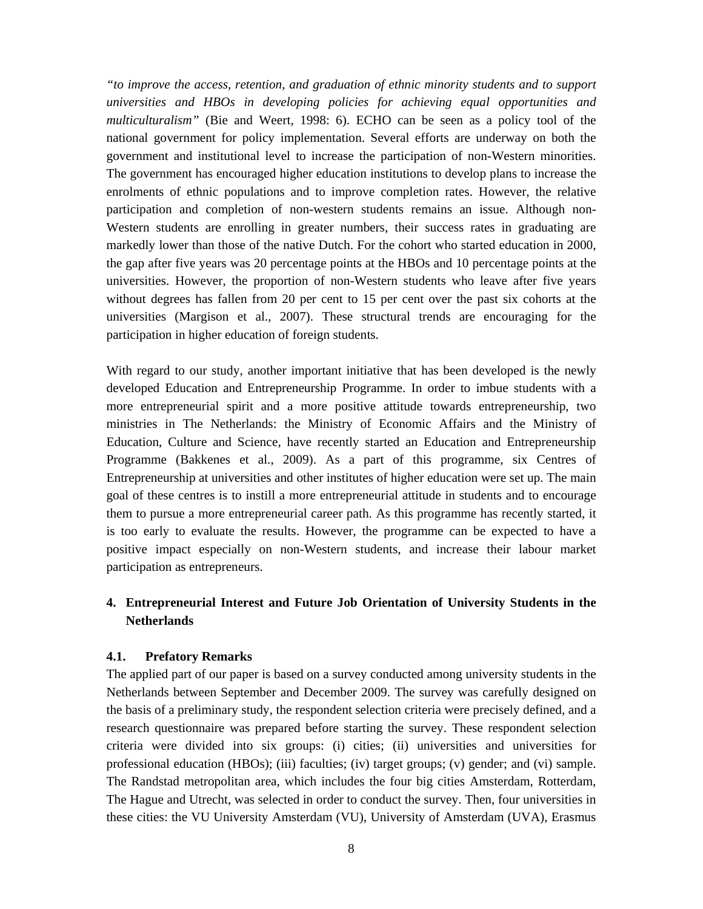*"to improve the access, retention, and graduation of ethnic minority students and to support universities and HBOs in developing policies for achieving equal opportunities and multiculturalism"* (Bie and Weert, 1998: 6). ECHO can be seen as a policy tool of the national government for policy implementation. Several efforts are underway on both the government and institutional level to increase the participation of non-Western minorities. The government has encouraged higher education institutions to develop plans to increase the enrolments of ethnic populations and to improve completion rates. However, the relative participation and completion of non-western students remains an issue. Although non-Western students are enrolling in greater numbers, their success rates in graduating are markedly lower than those of the native Dutch. For the cohort who started education in 2000, the gap after five years was 20 percentage points at the HBOs and 10 percentage points at the universities. However, the proportion of non-Western students who leave after five years without degrees has fallen from 20 per cent to 15 per cent over the past six cohorts at the universities (Margison et al., 2007). These structural trends are encouraging for the participation in higher education of foreign students.

With regard to our study, another important initiative that has been developed is the newly developed Education and Entrepreneurship Programme. In order to imbue students with a more entrepreneurial spirit and a more positive attitude towards entrepreneurship, two ministries in The Netherlands: the Ministry of Economic Affairs and the Ministry of Education, Culture and Science, have recently started an Education and Entrepreneurship Programme (Bakkenes et al., 2009). As a part of this programme, six Centres of Entrepreneurship at universities and other institutes of higher education were set up. The main goal of these centres is to instill a more entrepreneurial attitude in students and to encourage them to pursue a more entrepreneurial career path. As this programme has recently started, it is too early to evaluate the results. However, the programme can be expected to have a positive impact especially on non-Western students, and increase their labour market participation as entrepreneurs.

# **4. Entrepreneurial Interest and Future Job Orientation of University Students in the Netherlands**

# **4.1. Prefatory Remarks**

The applied part of our paper is based on a survey conducted among university students in the Netherlands between September and December 2009. The survey was carefully designed on the basis of a preliminary study, the respondent selection criteria were precisely defined, and a research questionnaire was prepared before starting the survey. These respondent selection criteria were divided into six groups: (i) cities; (ii) universities and universities for professional education (HBOs); (iii) faculties; (iv) target groups; (v) gender; and (vi) sample. The Randstad metropolitan area, which includes the four big cities Amsterdam, Rotterdam, The Hague and Utrecht, was selected in order to conduct the survey. Then, four universities in these cities: the VU University Amsterdam (VU), University of Amsterdam (UVA), Erasmus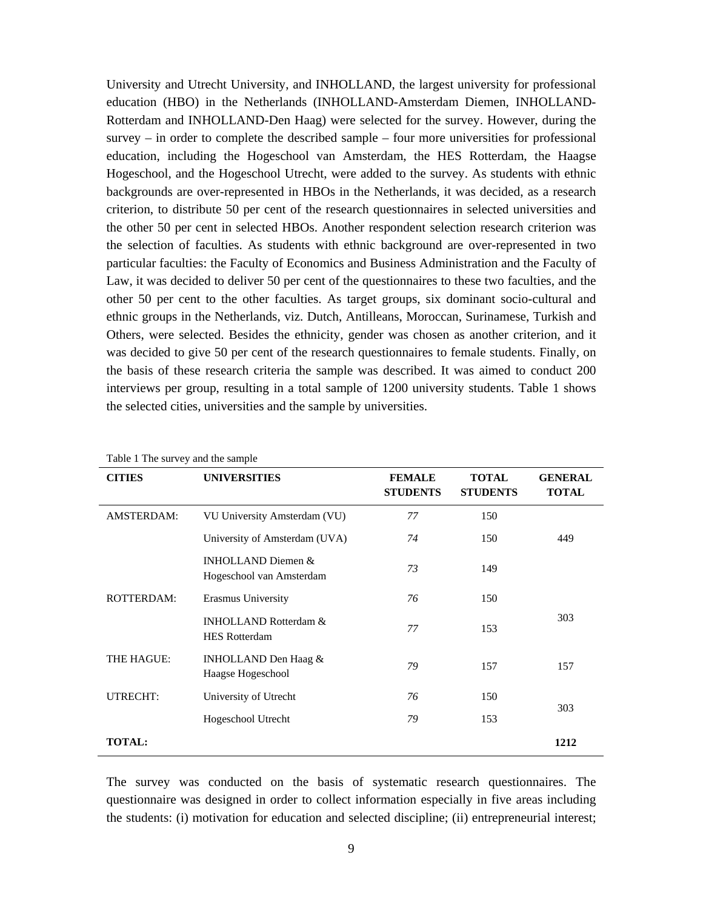University and Utrecht University, and INHOLLAND, the largest university for professional education (HBO) in the Netherlands (INHOLLAND-Amsterdam Diemen, INHOLLAND-Rotterdam and INHOLLAND-Den Haag) were selected for the survey. However, during the survey – in order to complete the described sample – four more universities for professional education, including the Hogeschool van Amsterdam, the HES Rotterdam, the Haagse Hogeschool, and the Hogeschool Utrecht, were added to the survey. As students with ethnic backgrounds are over-represented in HBOs in the Netherlands, it was decided, as a research criterion, to distribute 50 per cent of the research questionnaires in selected universities and the other 50 per cent in selected HBOs. Another respondent selection research criterion was the selection of faculties. As students with ethnic background are over-represented in two particular faculties: the Faculty of Economics and Business Administration and the Faculty of Law, it was decided to deliver 50 per cent of the questionnaires to these two faculties, and the other 50 per cent to the other faculties. As target groups, six dominant socio-cultural and ethnic groups in the Netherlands, viz. Dutch, Antilleans, Moroccan, Surinamese, Turkish and Others, were selected. Besides the ethnicity, gender was chosen as another criterion, and it was decided to give 50 per cent of the research questionnaires to female students. Finally, on the basis of these research criteria the sample was described. It was aimed to conduct 200 interviews per group, resulting in a total sample of 1200 university students. Table 1 shows the selected cities, universities and the sample by universities.

| CITIES          | <b>UNIVERSITIES</b>                                      | <b>FEMALE</b><br><b>STUDENTS</b> | <b>TOTAL</b><br><b>STUDENTS</b> | <b>GENERAL</b><br><b>TOTAL</b> |
|-----------------|----------------------------------------------------------|----------------------------------|---------------------------------|--------------------------------|
| AMSTERDAM:      | VU University Amsterdam (VU)                             | 77                               | 150                             |                                |
|                 | University of Amsterdam (UVA)                            | 74                               | 150                             | 449                            |
|                 | INHOLLAND Diemen $&$<br>Hogeschool van Amsterdam         | 73                               | 149                             |                                |
| ROTTERDAM:      | Erasmus University                                       | 76                               | 150                             |                                |
|                 | <b>INHOLLAND Rotterdam &amp;</b><br><b>HES Rotterdam</b> | 77                               | 153                             | 303                            |
| THE HAGUE:      | INHOLLAND Den Haag $&$<br>Haagse Hogeschool              | 79                               | 157                             | 157                            |
| <b>UTRECHT:</b> | University of Utrecht                                    | 76                               | 150                             | 303                            |
|                 | Hogeschool Utrecht                                       | 79                               | 153                             |                                |
| <b>TOTAL:</b>   |                                                          |                                  |                                 | 1212                           |

Table 1 The survey and the sample

The survey was conducted on the basis of systematic research questionnaires. The questionnaire was designed in order to collect information especially in five areas including the students: (i) motivation for education and selected discipline; (ii) entrepreneurial interest;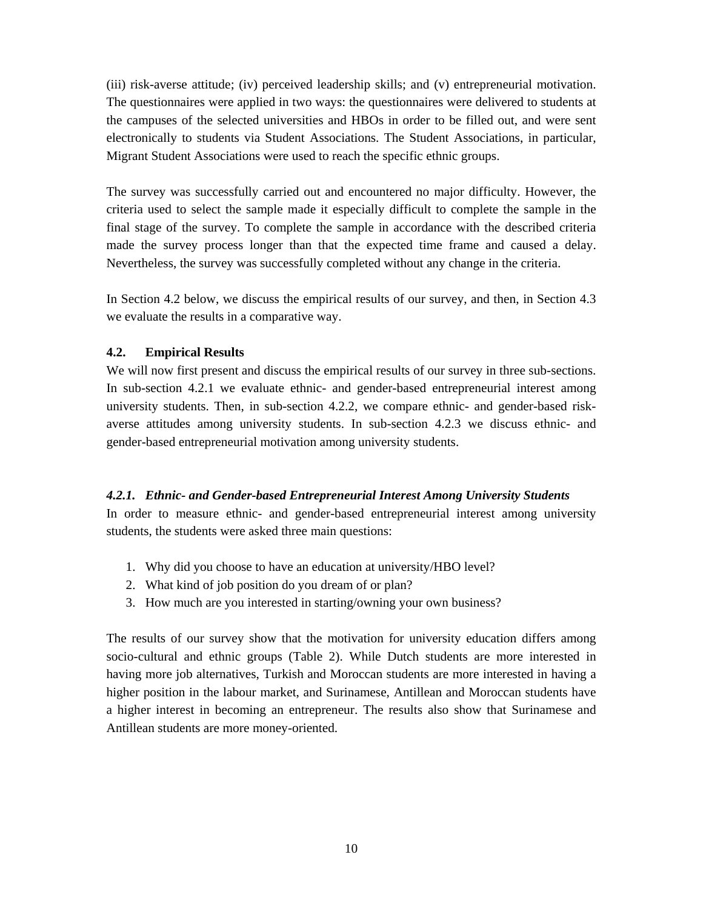(iii) risk-averse attitude; (iv) perceived leadership skills; and (v) entrepreneurial motivation. The questionnaires were applied in two ways: the questionnaires were delivered to students at the campuses of the selected universities and HBOs in order to be filled out, and were sent electronically to students via Student Associations. The Student Associations, in particular, Migrant Student Associations were used to reach the specific ethnic groups.

The survey was successfully carried out and encountered no major difficulty. However, the criteria used to select the sample made it especially difficult to complete the sample in the final stage of the survey. To complete the sample in accordance with the described criteria made the survey process longer than that the expected time frame and caused a delay. Nevertheless, the survey was successfully completed without any change in the criteria.

In Section 4.2 below, we discuss the empirical results of our survey, and then, in Section 4.3 we evaluate the results in a comparative way.

# **4.2. Empirical Results**

We will now first present and discuss the empirical results of our survey in three sub-sections. In sub-section 4.2.1 we evaluate ethnic- and gender-based entrepreneurial interest among university students. Then, in sub-section 4.2.2, we compare ethnic- and gender-based riskaverse attitudes among university students. In sub-section 4.2.3 we discuss ethnic- and gender-based entrepreneurial motivation among university students.

# *4.2.1. Ethnic- and Gender-based Entrepreneurial Interest Among University Students*

In order to measure ethnic- and gender-based entrepreneurial interest among university students, the students were asked three main questions:

- 1. Why did you choose to have an education at university/HBO level?
- 2. What kind of job position do you dream of or plan?
- 3. How much are you interested in starting/owning your own business?

The results of our survey show that the motivation for university education differs among socio-cultural and ethnic groups (Table 2). While Dutch students are more interested in having more job alternatives, Turkish and Moroccan students are more interested in having a higher position in the labour market, and Surinamese, Antillean and Moroccan students have a higher interest in becoming an entrepreneur. The results also show that Surinamese and Antillean students are more money-oriented.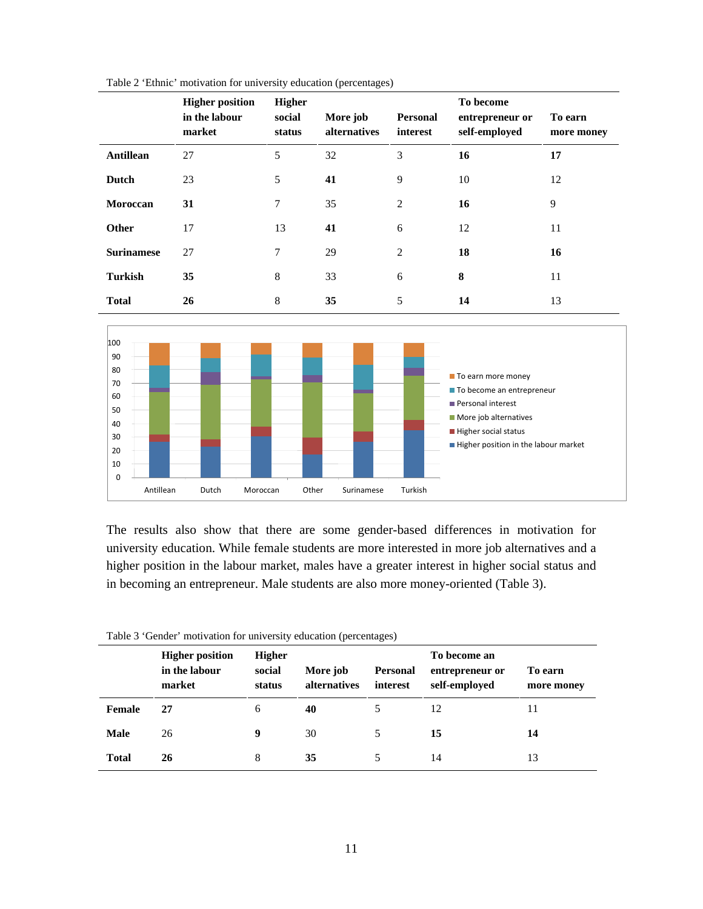|                   | <b>Higher position</b><br>in the labour<br>market | <b>Higher</b><br>social<br>status | More job<br>alternatives | <b>Personal</b><br>interest | To become<br>entrepreneur or<br>self-employed | To earn<br>more money |
|-------------------|---------------------------------------------------|-----------------------------------|--------------------------|-----------------------------|-----------------------------------------------|-----------------------|
| <b>Antillean</b>  | 27                                                | 5                                 | 32                       | 3                           | 16                                            | 17                    |
| Dutch             | 23                                                | 5                                 | 41                       | 9                           | 10                                            | 12                    |
| Moroccan          | 31                                                | 7                                 | 35                       | 2                           | 16                                            | 9                     |
| <b>Other</b>      | 17                                                | 13                                | 41                       | 6                           | 12                                            | 11                    |
| <b>Surinamese</b> | 27                                                | 7                                 | 29                       | 2                           | 18                                            | 16                    |
| <b>Turkish</b>    | 35                                                | 8                                 | 33                       | 6                           | 8                                             | 11                    |
| <b>Total</b>      | 26                                                | 8                                 | 35                       | 5                           | 14                                            | 13                    |





The results also show that there are some gender-based differences in motivation for university education. While female students are more interested in more job alternatives and a higher position in the labour market, males have a greater interest in higher social status and in becoming an entrepreneur. Male students are also more money-oriented (Table 3).

| Table 3 'Gender' motivation for university education (percentages) |  |  |  |  |
|--------------------------------------------------------------------|--|--|--|--|
|--------------------------------------------------------------------|--|--|--|--|

|              | <b>Higher position</b><br>in the labour<br>market | <b>Higher</b><br>social<br>status | More job<br>alternatives | Personal<br>interest | To become an<br>entrepreneur or<br>self-employed | To earn<br>more money |
|--------------|---------------------------------------------------|-----------------------------------|--------------------------|----------------------|--------------------------------------------------|-----------------------|
| Female       | 27                                                | 6                                 | 40                       |                      | 12                                               | 11                    |
| <b>Male</b>  | 26                                                | 9                                 | 30                       | 5                    | 15                                               | 14                    |
| <b>Total</b> | 26                                                | 8                                 | 35                       |                      | 14                                               | 13                    |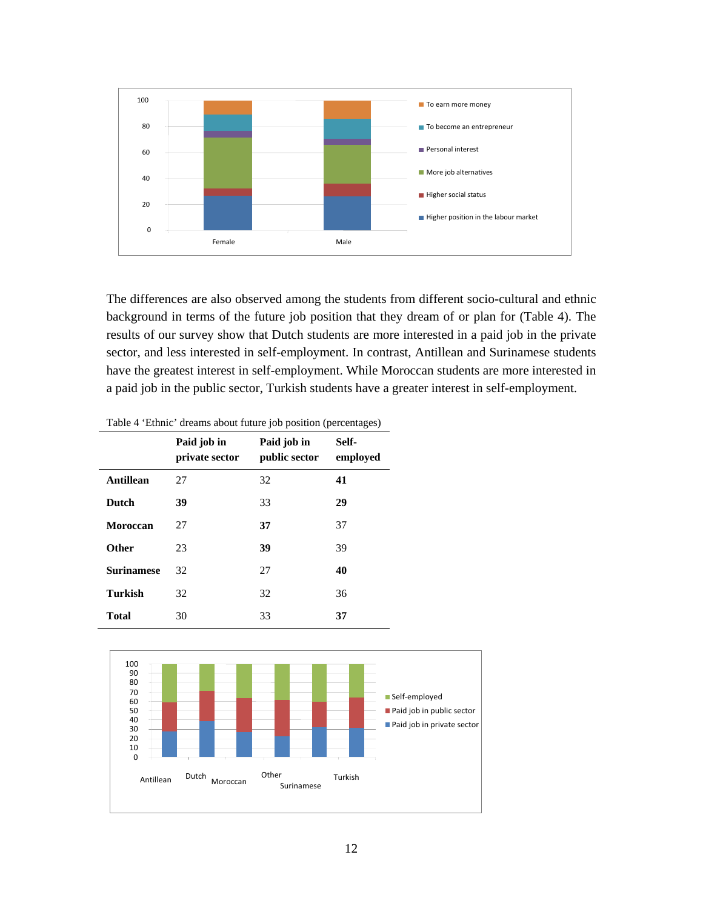

The differences are also observed among the students from different socio-cultural and ethnic background in terms of the future job position that they dream of or plan for (Table 4). The results of our survey show that Dutch students are more interested in a paid job in the private sector, and less interested in self-employment. In contrast, Antillean and Surinamese students have the greatest interest in self-employment. While Moroccan students are more interested in a paid job in the public sector, Turkish students have a greater interest in self-employment.

|                   | Paid job in<br>private sector | Paid job in<br>public sector | Self-<br>employed |
|-------------------|-------------------------------|------------------------------|-------------------|
| Antillean         | 27                            | 32                           | 41                |
| <b>Dutch</b>      | 39                            | 33                           | 29                |
| Moroccan          | 27                            | 37                           | 37                |
| <b>Other</b>      | 23                            | 39                           | 39                |
| <b>Surinamese</b> | 32                            | 27                           | 40                |
| <b>Turkish</b>    | 32                            | 32                           | 36                |
| <b>Total</b>      | 30                            | 33                           | 37                |

| Table 4 'Ethnic' dreams about future job position (percentages) |  |  |  |  |
|-----------------------------------------------------------------|--|--|--|--|
|-----------------------------------------------------------------|--|--|--|--|

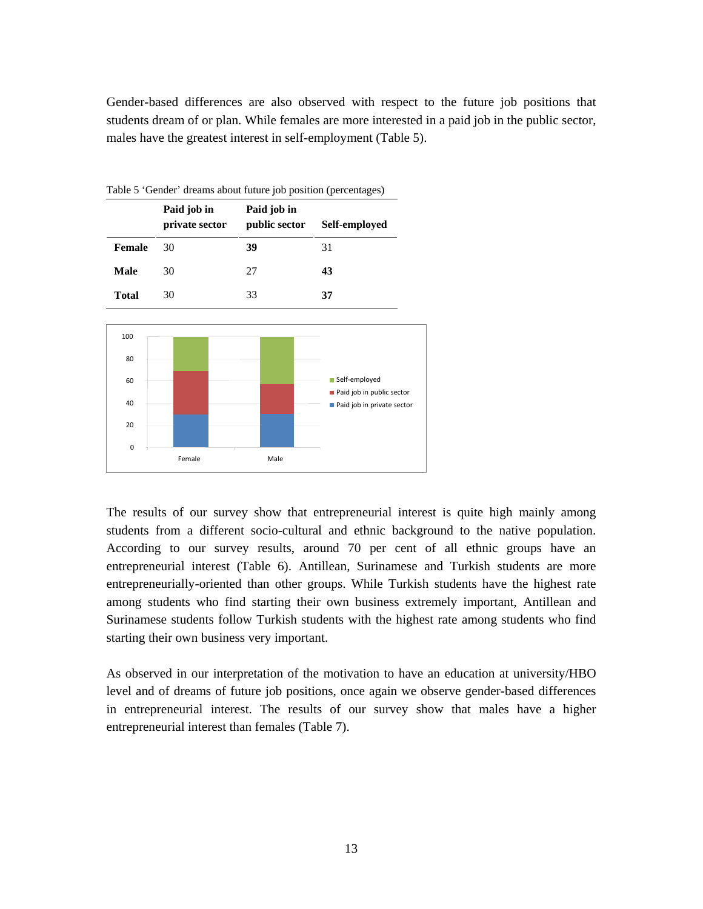Gender-based differences are also observed with respect to the future job positions that students dream of or plan. While females are more interested in a paid job in the public sector, males have the greatest interest in self-employment (Table 5).

| Twore concert dreams about raters for position (percentages) |                               |                              |               |  |  |  |
|--------------------------------------------------------------|-------------------------------|------------------------------|---------------|--|--|--|
|                                                              | Paid job in<br>private sector | Paid job in<br>public sector | Self-employed |  |  |  |
| Female                                                       | 30                            | 39                           | 31            |  |  |  |
| Male                                                         | 30                            | 27                           | 43            |  |  |  |
| <b>Total</b>                                                 | 30                            | 33                           | 37            |  |  |  |

Table 5 'Gender' dreams about future job position (percentages)



The results of our survey show that entrepreneurial interest is quite high mainly among students from a different socio-cultural and ethnic background to the native population. According to our survey results, around 70 per cent of all ethnic groups have an entrepreneurial interest (Table 6). Antillean, Surinamese and Turkish students are more entrepreneurially-oriented than other groups. While Turkish students have the highest rate among students who find starting their own business extremely important, Antillean and Surinamese students follow Turkish students with the highest rate among students who find starting their own business very important.

As observed in our interpretation of the motivation to have an education at university/HBO level and of dreams of future job positions, once again we observe gender-based differences in entrepreneurial interest. The results of our survey show that males have a higher entrepreneurial interest than females (Table 7).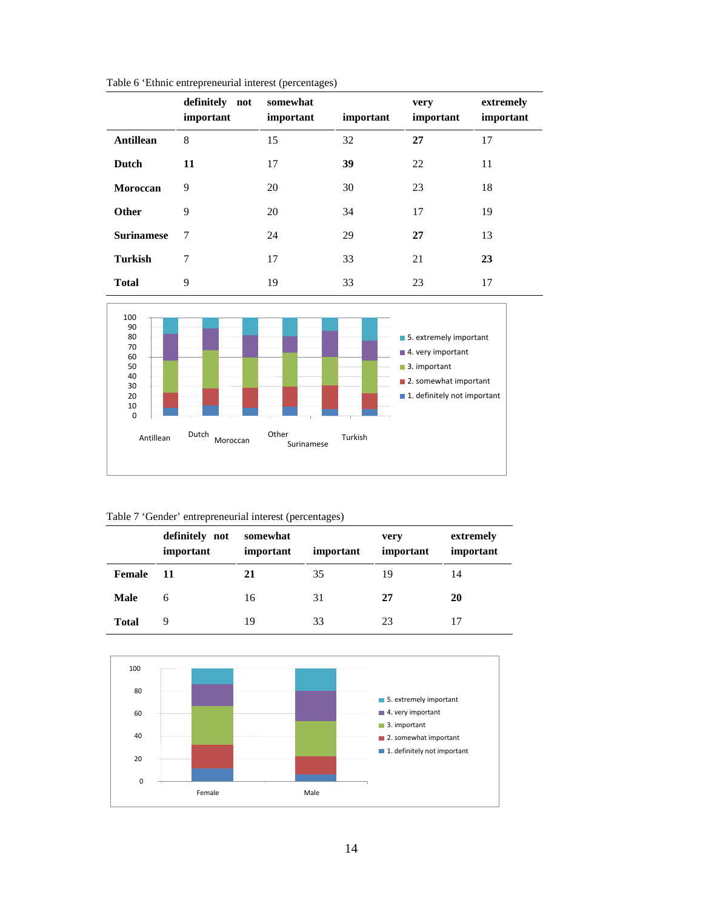|                   | $\mathbf{r}$                | પ્ર⊾<br>ັ             |           |                   |                        |
|-------------------|-----------------------------|-----------------------|-----------|-------------------|------------------------|
|                   | definitely not<br>important | somewhat<br>important | important | very<br>important | extremely<br>important |
| <b>Antillean</b>  | 8                           | 15                    | 32        | 27                | 17                     |
| Dutch             | 11                          | 17                    | 39        | 22                | 11                     |
| Moroccan          | 9                           | 20                    | 30        | 23                | 18                     |
| <b>Other</b>      | 9                           | 20                    | 34        | 17                | 19                     |
| <b>Surinamese</b> | 7                           | 24                    | 29        | 27                | 13                     |
| <b>Turkish</b>    | 7                           | 17                    | 33        | 21                | 23                     |
| <b>Total</b>      | 9                           | 19                    | 33        | 23                | 17                     |





### Table 7 'Gender' entrepreneurial interest (percentages)

|              | definitely not<br>important | somewhat<br>important | important | very<br>important | extremely<br>important |
|--------------|-----------------------------|-----------------------|-----------|-------------------|------------------------|
| Female       | 11                          | 21                    | 35        | 19                | 14                     |
| Male         | 6                           | 16                    | 31        | 27                | 20                     |
| <b>Total</b> | 9                           | 19                    | 33        | 23                |                        |

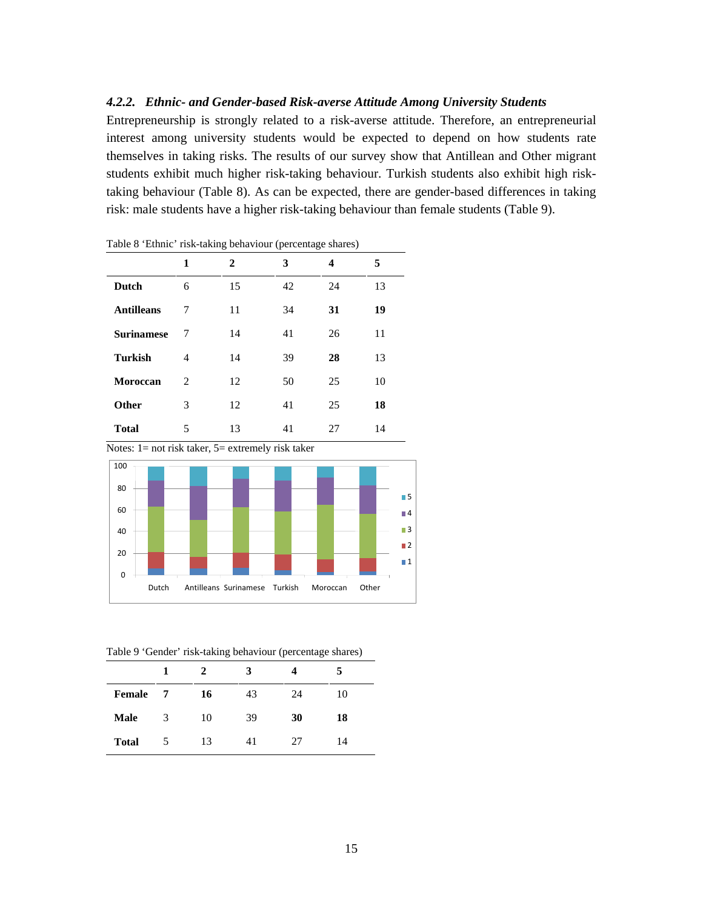## *4.2.2. Ethnic- and Gender-based Risk-averse Attitude Among University Students*

Entrepreneurship is strongly related to a risk-averse attitude. Therefore, an entrepreneurial interest among university students would be expected to depend on how students rate themselves in taking risks. The results of our survey show that Antillean and Other migrant students exhibit much higher risk-taking behaviour. Turkish students also exhibit high risktaking behaviour (Table 8). As can be expected, there are gender-based differences in taking risk: male students have a higher risk-taking behaviour than female students (Table 9).

|                   |   | $\check{ }$ | $\overline{\phantom{a}}$<br>J |    |    |
|-------------------|---|-------------|-------------------------------|----|----|
|                   | 1 | 2           | 3                             | 4  | 5  |
| Dutch             | 6 | 15          | 42                            | 24 | 13 |
| <b>Antilleans</b> | 7 | 11          | 34                            | 31 | 19 |
| <b>Surinamese</b> | 7 | 14          | 41                            | 26 | 11 |
| <b>Turkish</b>    | 4 | 14          | 39                            | 28 | 13 |
| Moroccan          | 2 | 12          | 50                            | 25 | 10 |
| Other             | 3 | 12          | 41                            | 25 | 18 |
| <b>Total</b>      | 5 | 13          | 41                            | 27 | 14 |

Table 8 'Ethnic' risk-taking behaviour (percentage shares)

Notes: 1= not risk taker, 5= extremely risk taker



Table 9 'Gender' risk-taking behaviour (percentage shares)

|              | 1 | 2  | 3  |    |    |
|--------------|---|----|----|----|----|
| Female       | 7 | 16 | 43 | 24 | 10 |
| <b>Male</b>  | 3 | 10 | 39 | 30 | 18 |
| <b>Total</b> | 5 | 13 | 41 | 27 | 14 |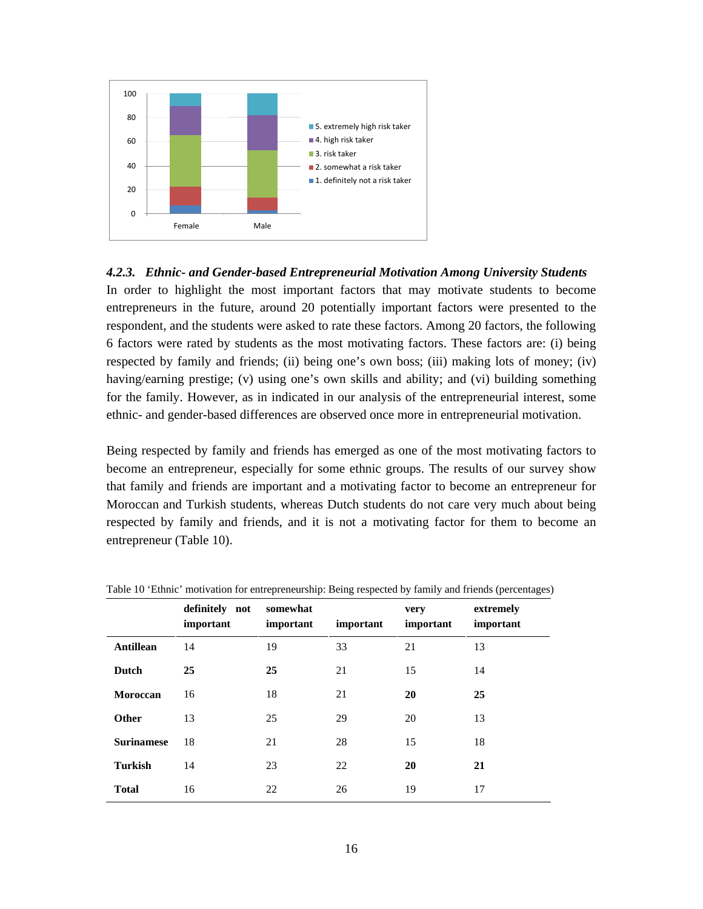

## *4.2.3. Ethnic- and Gender-based Entrepreneurial Motivation Among University Students*

In order to highlight the most important factors that may motivate students to become entrepreneurs in the future, around 20 potentially important factors were presented to the respondent, and the students were asked to rate these factors. Among 20 factors, the following 6 factors were rated by students as the most motivating factors. These factors are: (i) being respected by family and friends; (ii) being one's own boss; (iii) making lots of money; (iv) having/earning prestige; (v) using one's own skills and ability; and (vi) building something for the family. However, as in indicated in our analysis of the entrepreneurial interest, some ethnic- and gender-based differences are observed once more in entrepreneurial motivation.

Being respected by family and friends has emerged as one of the most motivating factors to become an entrepreneur, especially for some ethnic groups. The results of our survey show that family and friends are important and a motivating factor to become an entrepreneur for Moroccan and Turkish students, whereas Dutch students do not care very much about being respected by family and friends, and it is not a motivating factor for them to become an entrepreneur (Table 10).

|                   | definitely not<br>important | somewhat<br>important | important | very<br>important | extremely<br>important |
|-------------------|-----------------------------|-----------------------|-----------|-------------------|------------------------|
| <b>Antillean</b>  | 14                          | 19                    | 33        | 21                | 13                     |
| Dutch             | 25                          | 25                    | 21        | 15                | 14                     |
| Moroccan          | 16                          | 18                    | 21        | 20                | 25                     |
| <b>Other</b>      | 13                          | 25                    | 29        | 20                | 13                     |
| <b>Surinamese</b> | 18                          | 21                    | 28        | 15                | 18                     |
| <b>Turkish</b>    | 14                          | 23                    | 22        | 20                | 21                     |
| <b>Total</b>      | 16                          | 22                    | 26        | 19                | 17                     |

Table 10 'Ethnic' motivation for entrepreneurship: Being respected by family and friends (percentages)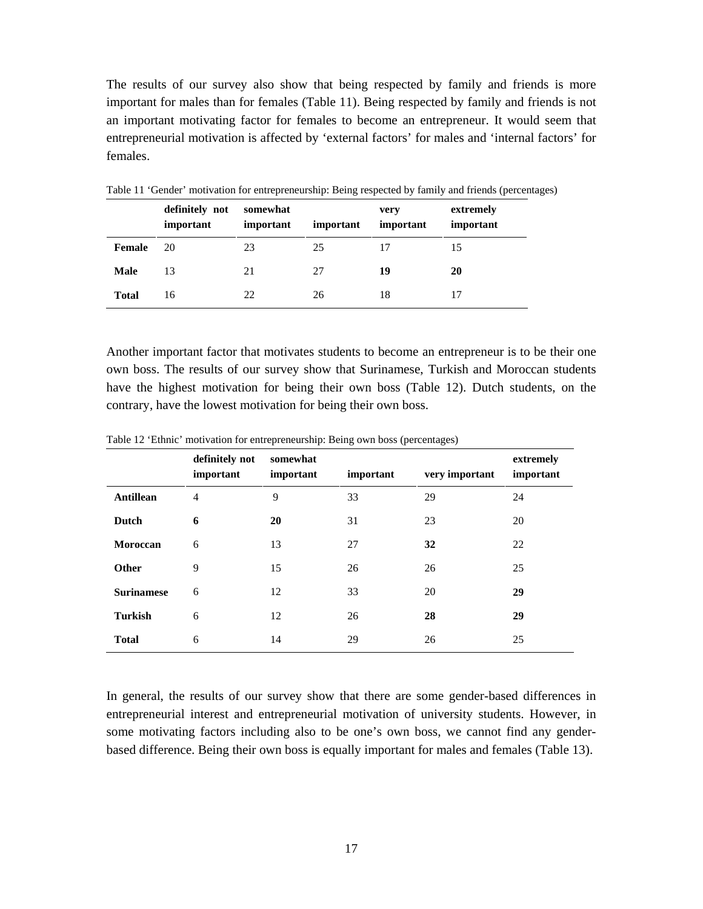The results of our survey also show that being respected by family and friends is more important for males than for females (Table 11). Being respected by family and friends is not an important motivating factor for females to become an entrepreneur. It would seem that entrepreneurial motivation is affected by 'external factors' for males and 'internal factors' for females.

|              | definitely not<br>important | somewhat<br>important | important | very<br>important | extremely<br>important |
|--------------|-----------------------------|-----------------------|-----------|-------------------|------------------------|
| Female       | 20                          | 23                    | 25        | 17                | 15                     |
| Male         | 13                          | 21                    | 27        | 19                | 20                     |
| <b>Total</b> | 16                          | 22                    | 26        | 18                | 17                     |

Table 11 'Gender' motivation for entrepreneurship: Being respected by family and friends (percentages)

Another important factor that motivates students to become an entrepreneur is to be their one own boss. The results of our survey show that Surinamese, Turkish and Moroccan students have the highest motivation for being their own boss (Table 12). Dutch students, on the contrary, have the lowest motivation for being their own boss.

|                   | definitely not<br>important | somewhat<br>important | important | very important | extremely<br>important |
|-------------------|-----------------------------|-----------------------|-----------|----------------|------------------------|
| <b>Antillean</b>  | $\overline{4}$              | 9                     | 33        | 29             | 24                     |
| Dutch             | 6                           | 20                    | 31        | 23             | 20                     |
| Moroccan          | 6                           | 13                    | 27        | 32             | 22                     |
| <b>Other</b>      | 9                           | 15                    | 26        | 26             | 25                     |
| <b>Surinamese</b> | 6                           | 12                    | 33        | 20             | 29                     |
| <b>Turkish</b>    | 6                           | 12                    | 26        | 28             | 29                     |
| <b>Total</b>      | 6                           | 14                    | 29        | 26             | 25                     |

Table 12 'Ethnic' motivation for entrepreneurship: Being own boss (percentages)

In general, the results of our survey show that there are some gender-based differences in entrepreneurial interest and entrepreneurial motivation of university students. However, in some motivating factors including also to be one's own boss, we cannot find any genderbased difference. Being their own boss is equally important for males and females (Table 13).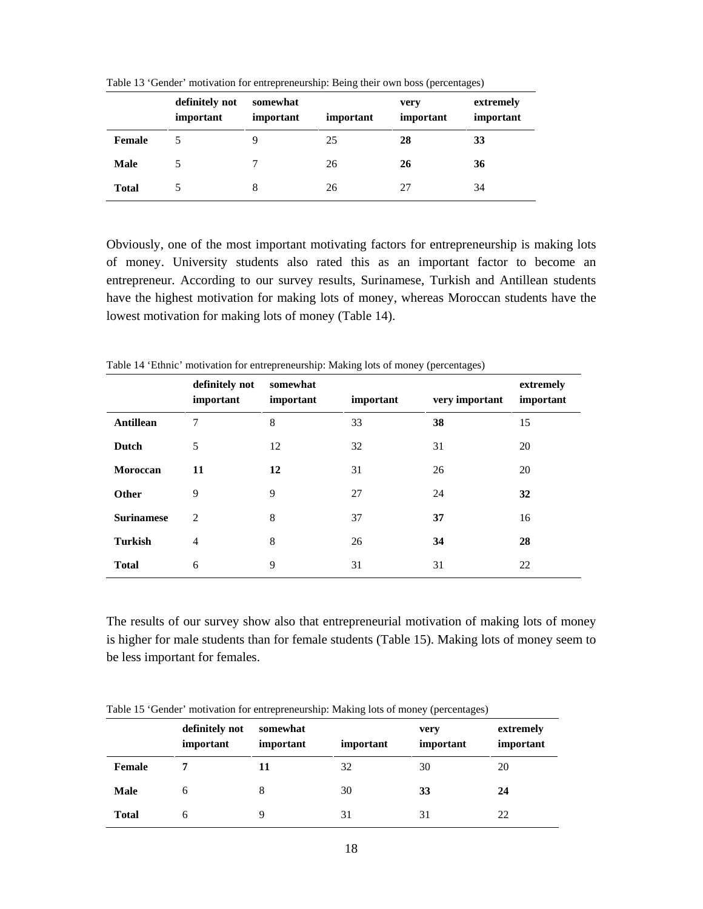|              | definitely not<br>important | somewhat<br>important | important | very<br>important | extremely<br>important |
|--------------|-----------------------------|-----------------------|-----------|-------------------|------------------------|
| Female       |                             | 9                     | 25        | 28                | 33                     |
| <b>Male</b>  | 5                           |                       | 26        | 26                | 36                     |
| <b>Total</b> |                             | 8                     | 26        | 27                | 34                     |

Table 13 'Gender' motivation for entrepreneurship: Being their own boss (percentages)

Obviously, one of the most important motivating factors for entrepreneurship is making lots of money. University students also rated this as an important factor to become an entrepreneur. According to our survey results, Surinamese, Turkish and Antillean students have the highest motivation for making lots of money, whereas Moroccan students have the lowest motivation for making lots of money (Table 14).

|                   | definitely not<br>important | somewhat<br>important | important | very important | extremely<br>important |
|-------------------|-----------------------------|-----------------------|-----------|----------------|------------------------|
| <b>Antillean</b>  | 7                           | 8                     | 33        | 38             | 15                     |
| Dutch             | 5                           | 12                    | 32        | 31             | 20                     |
| Moroccan          | 11                          | 12                    | 31        | 26             | 20                     |
| Other             | 9                           | 9                     | 27        | 24             | 32                     |
| <b>Surinamese</b> | 2                           | 8                     | 37        | 37             | 16                     |
| <b>Turkish</b>    | $\overline{4}$              | 8                     | 26        | 34             | 28                     |
| <b>Total</b>      | 6                           | 9                     | 31        | 31             | 22                     |

Table 14 'Ethnic' motivation for entrepreneurship: Making lots of money (percentages)

The results of our survey show also that entrepreneurial motivation of making lots of money is higher for male students than for female students (Table 15). Making lots of money seem to be less important for females.

|              |                             |                       | ຼ         |                   |                        |
|--------------|-----------------------------|-----------------------|-----------|-------------------|------------------------|
|              | definitely not<br>important | somewhat<br>important | important | very<br>important | extremely<br>important |
| Female       |                             | 11                    | 32        | 30                | 20                     |
| <b>Male</b>  | 6                           | 8                     | 30        | 33                | 24                     |
| <b>Total</b> | 6                           |                       | 31        | 31                | 22                     |

Table 15 'Gender' motivation for entrepreneurship: Making lots of money (percentages)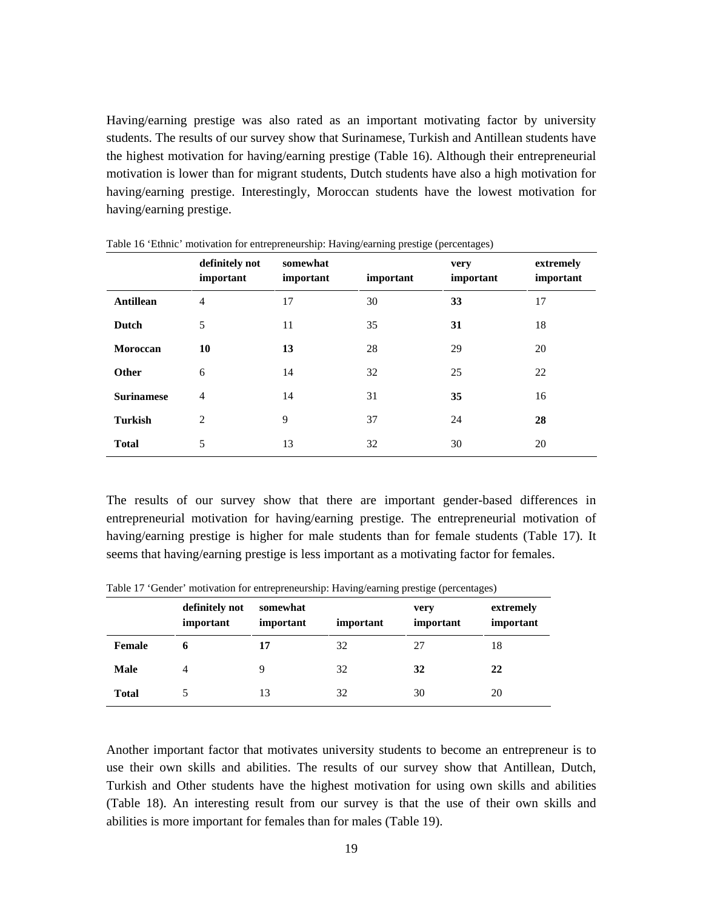Having/earning prestige was also rated as an important motivating factor by university students. The results of our survey show that Surinamese, Turkish and Antillean students have the highest motivation for having/earning prestige (Table 16). Although their entrepreneurial motivation is lower than for migrant students, Dutch students have also a high motivation for having/earning prestige. Interestingly, Moroccan students have the lowest motivation for having/earning prestige.

|                   | definitely not<br>important | somewhat<br>important | important | very<br>important | extremely<br>important |
|-------------------|-----------------------------|-----------------------|-----------|-------------------|------------------------|
| <b>Antillean</b>  | $\overline{4}$              | 17                    | 30        | 33                | 17                     |
| Dutch             | 5                           | 11                    | 35        | 31                | 18                     |
| Moroccan          | 10                          | 13                    | 28        | 29                | 20                     |
| Other             | 6                           | 14                    | 32        | 25                | 22                     |
| <b>Surinamese</b> | $\overline{4}$              | 14                    | 31        | 35                | 16                     |
| <b>Turkish</b>    | $\overline{2}$              | 9                     | 37        | 24                | 28                     |
| <b>Total</b>      | 5                           | 13                    | 32        | 30                | 20                     |

Table 16 'Ethnic' motivation for entrepreneurship: Having/earning prestige (percentages)

The results of our survey show that there are important gender-based differences in entrepreneurial motivation for having/earning prestige. The entrepreneurial motivation of having/earning prestige is higher for male students than for female students (Table 17). It seems that having/earning prestige is less important as a motivating factor for females.

|              | definitely not<br>important | somewhat<br>important | important | very<br>important | extremely<br>important |
|--------------|-----------------------------|-----------------------|-----------|-------------------|------------------------|
| Female       | 6                           | 17                    | 32        | 27                | 18                     |
| <b>Male</b>  |                             | 9                     | 32        | 32                | 22                     |
| <b>Total</b> |                             | 13                    | 32        | 30                | 20                     |

Table 17 'Gender' motivation for entrepreneurship: Having/earning prestige (percentages)

Another important factor that motivates university students to become an entrepreneur is to use their own skills and abilities. The results of our survey show that Antillean, Dutch, Turkish and Other students have the highest motivation for using own skills and abilities (Table 18). An interesting result from our survey is that the use of their own skills and abilities is more important for females than for males (Table 19).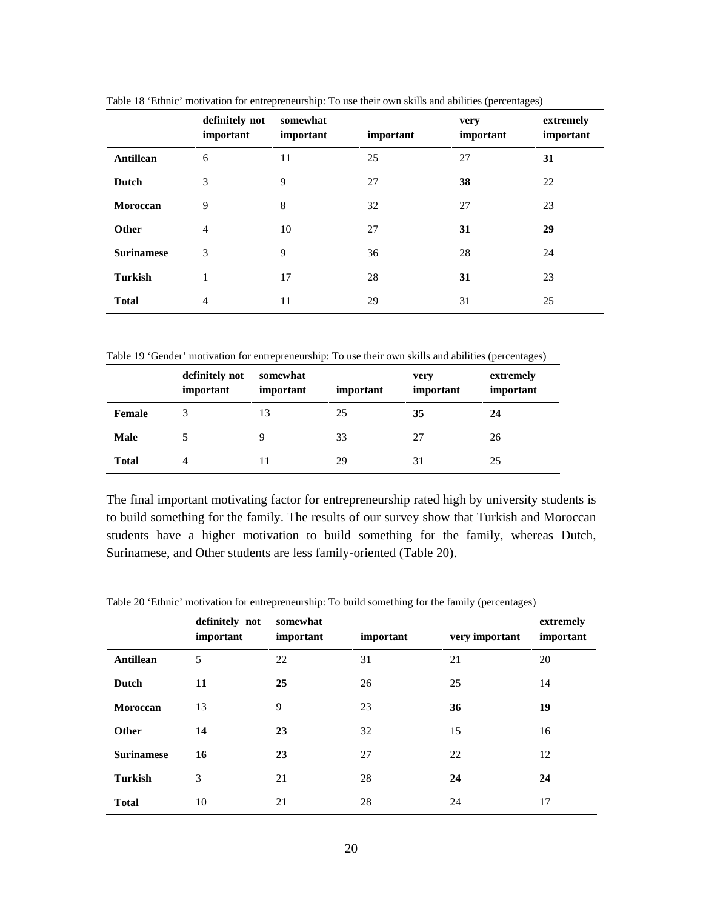|                   | definitely not<br>important | somewhat<br>important | important | very<br>important | extremely<br>important |
|-------------------|-----------------------------|-----------------------|-----------|-------------------|------------------------|
| Antillean         | 6                           | 11                    | 25        | 27                | 31                     |
| Dutch             | 3                           | 9                     | 27        | 38                | 22                     |
| Moroccan          | 9                           | 8                     | 32        | 27                | 23                     |
| <b>Other</b>      | $\overline{4}$              | 10                    | 27        | 31                | 29                     |
| <b>Surinamese</b> | 3                           | 9                     | 36        | 28                | 24                     |
| <b>Turkish</b>    |                             | 17                    | 28        | 31                | 23                     |
| <b>Total</b>      | $\overline{4}$              | 11                    | 29        | 31                | 25                     |

Table 18 'Ethnic' motivation for entrepreneurship: To use their own skills and abilities (percentages)

Table 19 'Gender' motivation for entrepreneurship: To use their own skills and abilities (percentages)

|              | definitely not<br>important | somewhat<br>important | important | very<br>important | extremely<br>important |
|--------------|-----------------------------|-----------------------|-----------|-------------------|------------------------|
| Female       |                             | 13                    | 25        | 35                | 24                     |
| <b>Male</b>  |                             |                       | 33        | 27                | 26                     |
| <b>Total</b> | $\overline{4}$              | 11                    | 29        | 31                | 25                     |

The final important motivating factor for entrepreneurship rated high by university students is to build something for the family. The results of our survey show that Turkish and Moroccan students have a higher motivation to build something for the family, whereas Dutch, Surinamese, and Other students are less family-oriented (Table 20).

|                   | definitely not<br>important | somewhat<br>important | important | very important | extremely<br>important |
|-------------------|-----------------------------|-----------------------|-----------|----------------|------------------------|
| Antillean         | 5                           | 22                    | 31        | 21             | 20                     |
| Dutch             | 11                          | 25                    | 26        | 25             | 14                     |
| Moroccan          | 13                          | 9                     | 23        | 36             | 19                     |
| Other             | 14                          | 23                    | 32        | 15             | 16                     |
| <b>Surinamese</b> | 16                          | 23                    | 27        | 22             | 12                     |
| <b>Turkish</b>    | 3                           | 21                    | 28        | 24             | 24                     |
| <b>Total</b>      | 10                          | 21                    | 28        | 24             | 17                     |

Table 20 'Ethnic' motivation for entrepreneurship: To build something for the family (percentages)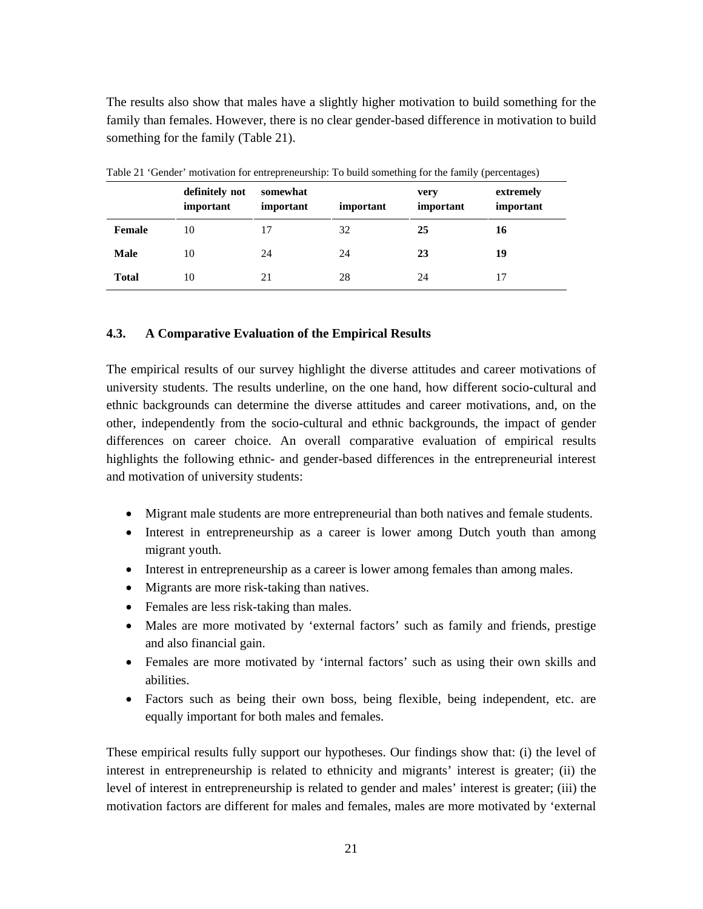The results also show that males have a slightly higher motivation to build something for the family than females. However, there is no clear gender-based difference in motivation to build something for the family (Table 21).

|              | definitely not<br>important | somewhat<br>important | important | very<br>important | extremely<br>important |
|--------------|-----------------------------|-----------------------|-----------|-------------------|------------------------|
| Female       | 10                          | 17                    | 32        | 25                | 16                     |
| <b>Male</b>  | 10                          | 24                    | 24        | 23                | 19                     |
| <b>Total</b> | 10                          | 21                    | 28        | 24                | 17                     |

Table 21 'Gender' motivation for entrepreneurship: To build something for the family (percentages)

# **4.3. A Comparative Evaluation of the Empirical Results**

The empirical results of our survey highlight the diverse attitudes and career motivations of university students. The results underline, on the one hand, how different socio-cultural and ethnic backgrounds can determine the diverse attitudes and career motivations, and, on the other, independently from the socio-cultural and ethnic backgrounds, the impact of gender differences on career choice. An overall comparative evaluation of empirical results highlights the following ethnic- and gender-based differences in the entrepreneurial interest and motivation of university students:

- Migrant male students are more entrepreneurial than both natives and female students.
- Interest in entrepreneurship as a career is lower among Dutch youth than among migrant youth.
- Interest in entrepreneurship as a career is lower among females than among males.
- Migrants are more risk-taking than natives.
- Females are less risk-taking than males.
- Males are more motivated by 'external factors' such as family and friends, prestige and also financial gain.
- Females are more motivated by 'internal factors' such as using their own skills and abilities.
- Factors such as being their own boss, being flexible, being independent, etc. are equally important for both males and females.

These empirical results fully support our hypotheses. Our findings show that: (i) the level of interest in entrepreneurship is related to ethnicity and migrants' interest is greater; (ii) the level of interest in entrepreneurship is related to gender and males' interest is greater; (iii) the motivation factors are different for males and females, males are more motivated by 'external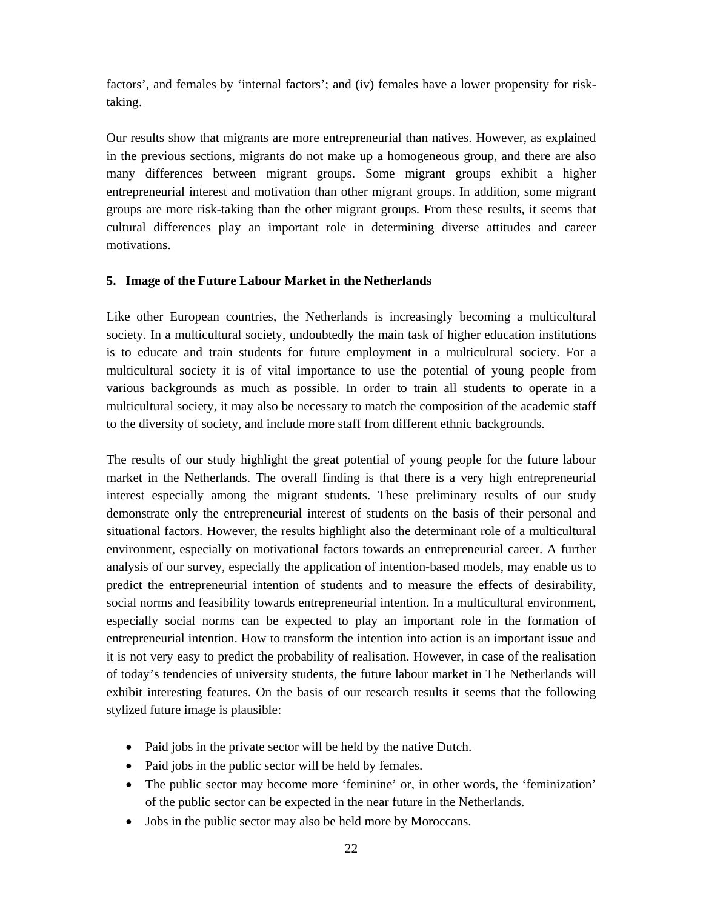factors', and females by 'internal factors'; and (iv) females have a lower propensity for risktaking.

Our results show that migrants are more entrepreneurial than natives. However, as explained in the previous sections, migrants do not make up a homogeneous group, and there are also many differences between migrant groups. Some migrant groups exhibit a higher entrepreneurial interest and motivation than other migrant groups. In addition, some migrant groups are more risk-taking than the other migrant groups. From these results, it seems that cultural differences play an important role in determining diverse attitudes and career motivations.

# **5. Image of the Future Labour Market in the Netherlands**

Like other European countries, the Netherlands is increasingly becoming a multicultural society. In a multicultural society, undoubtedly the main task of higher education institutions is to educate and train students for future employment in a multicultural society. For a multicultural society it is of vital importance to use the potential of young people from various backgrounds as much as possible. In order to train all students to operate in a multicultural society, it may also be necessary to match the composition of the academic staff to the diversity of society, and include more staff from different ethnic backgrounds.

The results of our study highlight the great potential of young people for the future labour market in the Netherlands. The overall finding is that there is a very high entrepreneurial interest especially among the migrant students. These preliminary results of our study demonstrate only the entrepreneurial interest of students on the basis of their personal and situational factors. However, the results highlight also the determinant role of a multicultural environment, especially on motivational factors towards an entrepreneurial career. A further analysis of our survey, especially the application of intention-based models, may enable us to predict the entrepreneurial intention of students and to measure the effects of desirability, social norms and feasibility towards entrepreneurial intention. In a multicultural environment, especially social norms can be expected to play an important role in the formation of entrepreneurial intention. How to transform the intention into action is an important issue and it is not very easy to predict the probability of realisation. However, in case of the realisation of today's tendencies of university students, the future labour market in The Netherlands will exhibit interesting features. On the basis of our research results it seems that the following stylized future image is plausible:

- Paid jobs in the private sector will be held by the native Dutch.
- Paid jobs in the public sector will be held by females.
- The public sector may become more 'feminine' or, in other words, the 'feminization' of the public sector can be expected in the near future in the Netherlands.
- Jobs in the public sector may also be held more by Moroccans.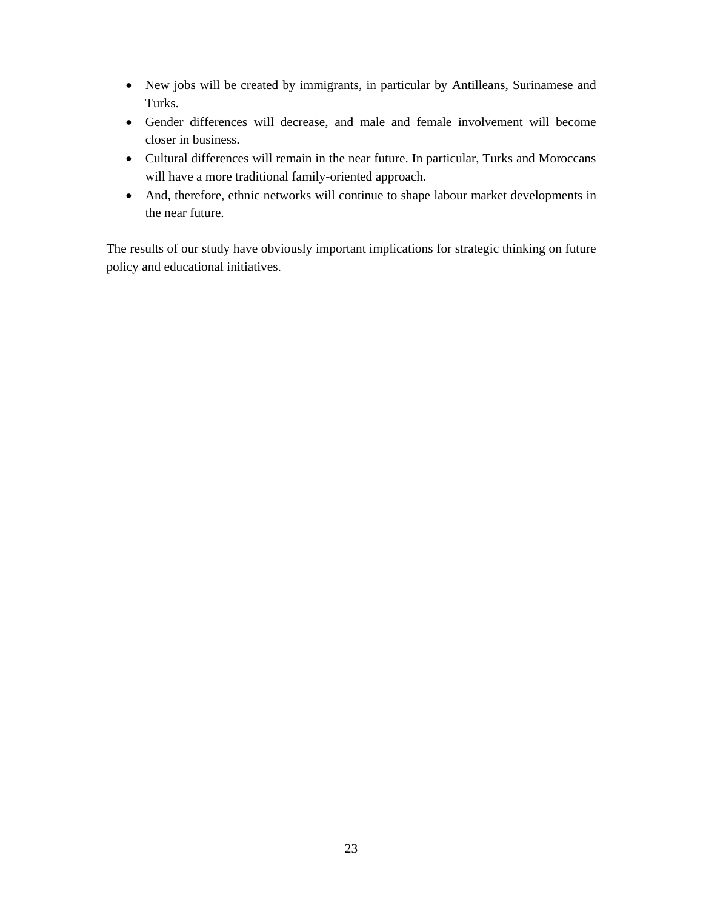- New jobs will be created by immigrants, in particular by Antilleans, Surinamese and Turks.
- Gender differences will decrease, and male and female involvement will become closer in business.
- Cultural differences will remain in the near future. In particular, Turks and Moroccans will have a more traditional family-oriented approach.
- And, therefore, ethnic networks will continue to shape labour market developments in the near future.

The results of our study have obviously important implications for strategic thinking on future policy and educational initiatives.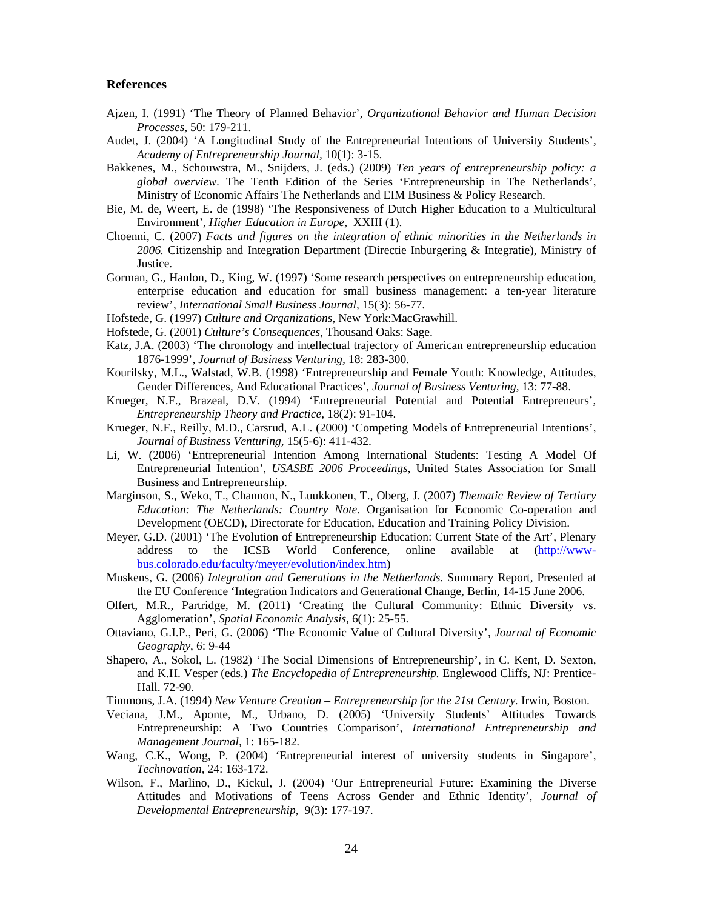## **References**

- Ajzen, I. (1991) 'The Theory of Planned Behavior', *Organizational Behavior and Human Decision Processes,* 50: 179-211.
- Audet, J. (2004) 'A Longitudinal Study of the Entrepreneurial Intentions of University Students', *Academy of Entrepreneurship Journal,* 10(1): 3-15.
- Bakkenes, M., Schouwstra, M., Snijders, J. (eds.) (2009) *Ten years of entrepreneurship policy: a global overview.* The Tenth Edition of the Series 'Entrepreneurship in The Netherlands', Ministry of Economic Affairs The Netherlands and EIM Business & Policy Research.
- Bie, M. de, Weert, E. de (1998) 'The Responsiveness of Dutch Higher Education to a Multicultural Environment', *Higher Education in Europe,* XXIII (1).
- Choenni, C. (2007) *Facts and figures on the integration of ethnic minorities in the Netherlands in 2006.* Citizenship and Integration Department (Directie Inburgering & Integratie), Ministry of Justice.
- Gorman, G., Hanlon, D., King, W. (1997) 'Some research perspectives on entrepreneurship education, enterprise education and education for small business management: a ten-year literature review', *International Small Business Journal,* 15(3): 56-77.
- Hofstede, G. (1997) *Culture and Organizations*, New York:MacGrawhill.
- Hofstede, G. (2001) *Culture's Consequences*, Thousand Oaks: Sage.
- Katz, J.A. (2003) 'The chronology and intellectual trajectory of American entrepreneurship education 1876-1999', *Journal of Business Venturing,* 18: 283-300.
- Kourilsky, M.L., Walstad, W.B. (1998) 'Entrepreneurship and Female Youth: Knowledge, Attitudes, Gender Differences, And Educational Practices', *Journal of Business Venturing,* 13: 77-88.
- Krueger, N.F., Brazeal, D.V. (1994) 'Entrepreneurial Potential and Potential Entrepreneurs', *Entrepreneurship Theory and Practice,* 18(2): 91-104.
- Krueger, N.F., Reilly, M.D., Carsrud, A.L. (2000) 'Competing Models of Entrepreneurial Intentions', *Journal of Business Venturing,* 15(5-6): 411-432.
- Li, W. (2006) 'Entrepreneurial Intention Among International Students: Testing A Model Of Entrepreneurial Intention', *USASBE 2006 Proceedings,* United States Association for Small Business and Entrepreneurship.
- Marginson, S., Weko, T., Channon, N., Luukkonen, T., Oberg, J. (2007) *Thematic Review of Tertiary Education: The Netherlands: Country Note.* Organisation for Economic Co-operation and Development (OECD), Directorate for Education, Education and Training Policy Division.
- Meyer, G.D. (2001) 'The Evolution of Entrepreneurship Education: Current State of the Art', Plenary address to the ICSB World Conference, online available at (http://wwwbus.colorado.edu/faculty/meyer/evolution/index.htm)
- Muskens, G. (2006) *Integration and Generations in the Netherlands.* Summary Report, Presented at the EU Conference 'Integration Indicators and Generational Change, Berlin, 14-15 June 2006.
- Olfert, M.R., Partridge, M. (2011) 'Creating the Cultural Community: Ethnic Diversity vs. Agglomeration', *Spatial Economic Analysis*, 6(1): 25-55.
- Ottaviano, G.I.P., Peri, G. (2006) 'The Economic Value of Cultural Diversity', *Journal of Economic Geography*, 6: 9-44
- Shapero, A., Sokol, L. (1982) 'The Social Dimensions of Entrepreneurship', in C. Kent, D. Sexton, and K.H. Vesper (eds.) *The Encyclopedia of Entrepreneurship.* Englewood Cliffs, NJ: Prentice-Hall. 72-90.
- Timmons, J.A. (1994) *New Venture Creation Entrepreneurship for the 21st Century.* Irwin, Boston.
- Veciana, J.M., Aponte, M., Urbano, D. (2005) 'University Students' Attitudes Towards Entrepreneurship: A Two Countries Comparison', *International Entrepreneurship and Management Journal,* 1: 165-182.
- Wang, C.K., Wong, P. (2004) 'Entrepreneurial interest of university students in Singapore', *Technovation,* 24: 163-172.
- Wilson, F., Marlino, D., Kickul, J. (2004) 'Our Entrepreneurial Future: Examining the Diverse Attitudes and Motivations of Teens Across Gender and Ethnic Identity', *Journal of Developmental Entrepreneurship,* 9(3): 177-197.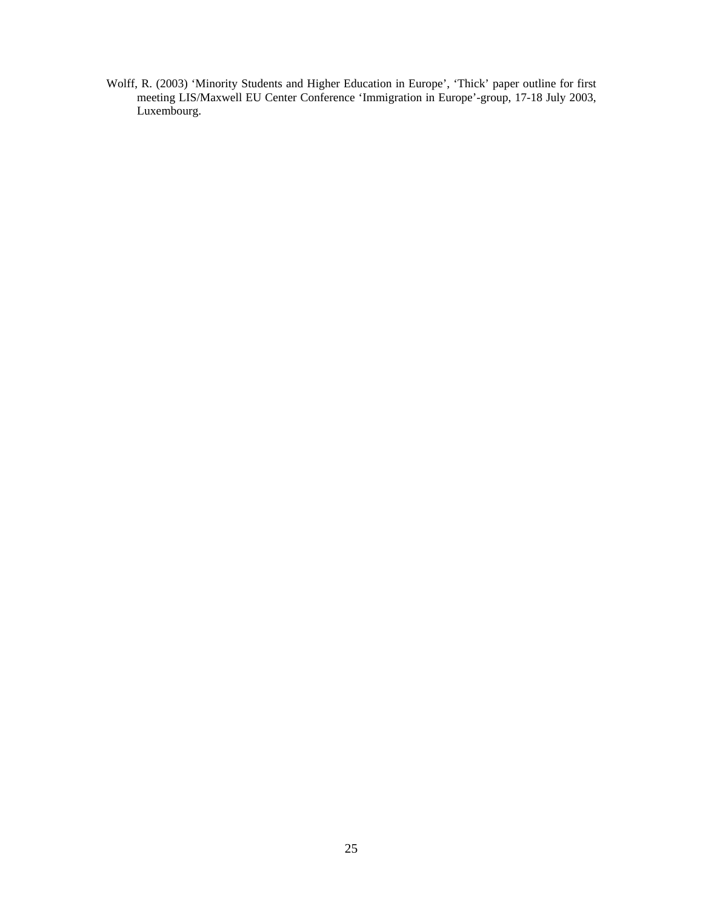Wolff, R. (2003) 'Minority Students and Higher Education in Europe', 'Thick' paper outline for first meeting LIS/Maxwell EU Center Conference 'Immigration in Europe'-group, 17-18 July 2003, Luxembourg.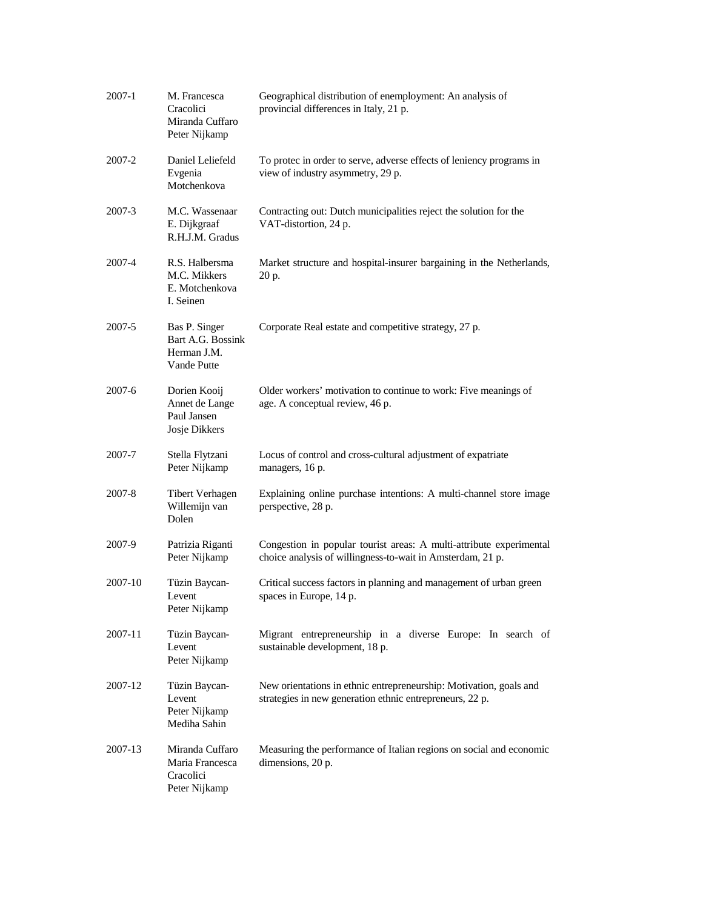| 2007-1  | M. Francesca<br>Cracolici<br>Miranda Cuffaro<br>Peter Nijkamp    | Geographical distribution of enemployment: An analysis of<br>provincial differences in Italy, 21 p.                               |
|---------|------------------------------------------------------------------|-----------------------------------------------------------------------------------------------------------------------------------|
| 2007-2  | Daniel Leliefeld<br>Evgenia<br>Motchenkova                       | To protec in order to serve, adverse effects of leniency programs in<br>view of industry asymmetry, 29 p.                         |
| 2007-3  | M.C. Wassenaar<br>E. Dijkgraaf<br>R.H.J.M. Gradus                | Contracting out: Dutch municipalities reject the solution for the<br>VAT-distortion, 24 p.                                        |
| 2007-4  | R.S. Halbersma<br>M.C. Mikkers<br>E. Motchenkova<br>I. Seinen    | Market structure and hospital-insurer bargaining in the Netherlands,<br>20 p.                                                     |
| 2007-5  | Bas P. Singer<br>Bart A.G. Bossink<br>Herman J.M.<br>Vande Putte | Corporate Real estate and competitive strategy, 27 p.                                                                             |
| 2007-6  | Dorien Kooij<br>Annet de Lange<br>Paul Jansen<br>Josje Dikkers   | Older workers' motivation to continue to work: Five meanings of<br>age. A conceptual review, 46 p.                                |
| 2007-7  | Stella Flytzani<br>Peter Nijkamp                                 | Locus of control and cross-cultural adjustment of expatriate<br>managers, 16 p.                                                   |
| 2007-8  | <b>Tibert Verhagen</b><br>Willemijn van<br>Dolen                 | Explaining online purchase intentions: A multi-channel store image<br>perspective, 28 p.                                          |
| 2007-9  | Patrizia Riganti<br>Peter Nijkamp                                | Congestion in popular tourist areas: A multi-attribute experimental<br>choice analysis of willingness-to-wait in Amsterdam, 21 p. |
| 2007-10 | Tüzin Baycan-<br>Levent<br>Peter Nijkamp                         | Critical success factors in planning and management of urban green<br>spaces in Europe, 14 p.                                     |
| 2007-11 | Tüzin Baycan-<br>Levent<br>Peter Nijkamp                         | Migrant entrepreneurship in a diverse Europe: In search of<br>sustainable development, 18 p.                                      |
| 2007-12 | Tüzin Baycan-<br>Levent<br>Peter Nijkamp<br>Mediha Sahin         | New orientations in ethnic entrepreneurship: Motivation, goals and<br>strategies in new generation ethnic entrepreneurs, 22 p.    |
| 2007-13 | Miranda Cuffaro<br>Maria Francesca<br>Cracolici<br>Peter Nijkamp | Measuring the performance of Italian regions on social and economic<br>dimensions, 20 p.                                          |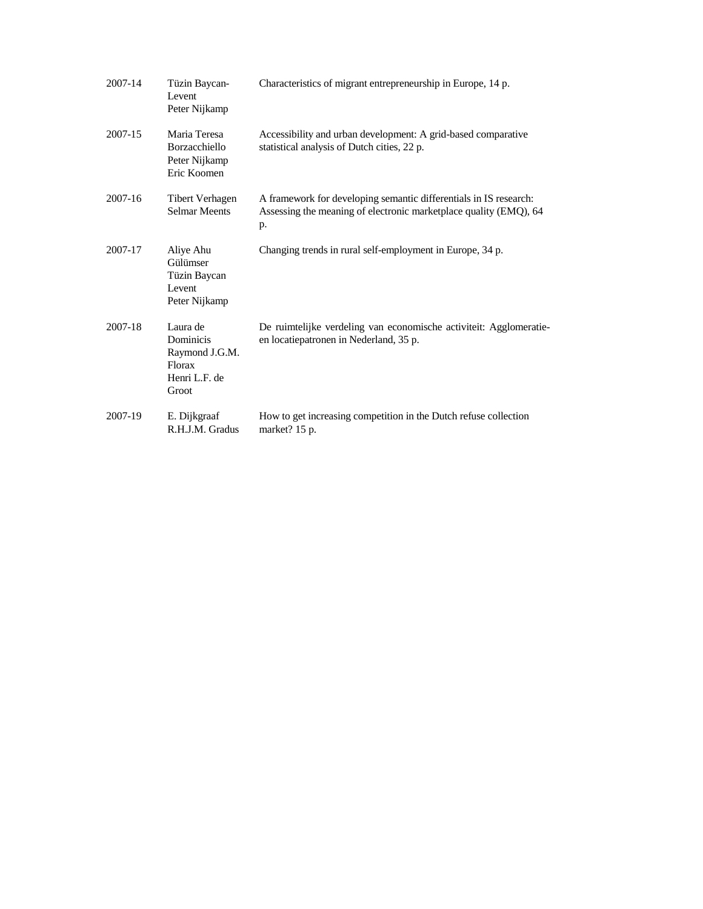| 2007-14 | Tüzin Baycan-<br>Levent<br>Peter Nijkamp                                           | Characteristics of migrant entrepreneurship in Europe, 14 p.                                                                                 |
|---------|------------------------------------------------------------------------------------|----------------------------------------------------------------------------------------------------------------------------------------------|
| 2007-15 | Maria Teresa<br><b>Borzacchiello</b><br>Peter Nijkamp<br>Eric Koomen               | Accessibility and urban development: A grid-based comparative<br>statistical analysis of Dutch cities, 22 p.                                 |
| 2007-16 | <b>Tibert Verhagen</b><br><b>Selmar Meents</b>                                     | A framework for developing semantic differentials in IS research:<br>Assessing the meaning of electronic marketplace quality (EMQ), 64<br>p. |
| 2007-17 | Aliye Ahu<br>Gülümser<br>Tüzin Baycan<br>Levent<br>Peter Nijkamp                   | Changing trends in rural self-employment in Europe, 34 p.                                                                                    |
| 2007-18 | Laura de<br><b>Dominicis</b><br>Raymond J.G.M.<br>Florax<br>Henri L.F. de<br>Groot | De ruimtelijke verdeling van economische activiteit: Agglomeratie-<br>en locatiepatronen in Nederland, 35 p.                                 |
| 2007-19 | E. Dijkgraaf<br>R.H.J.M. Gradus                                                    | How to get increasing competition in the Dutch refuse collection<br>market? 15 p.                                                            |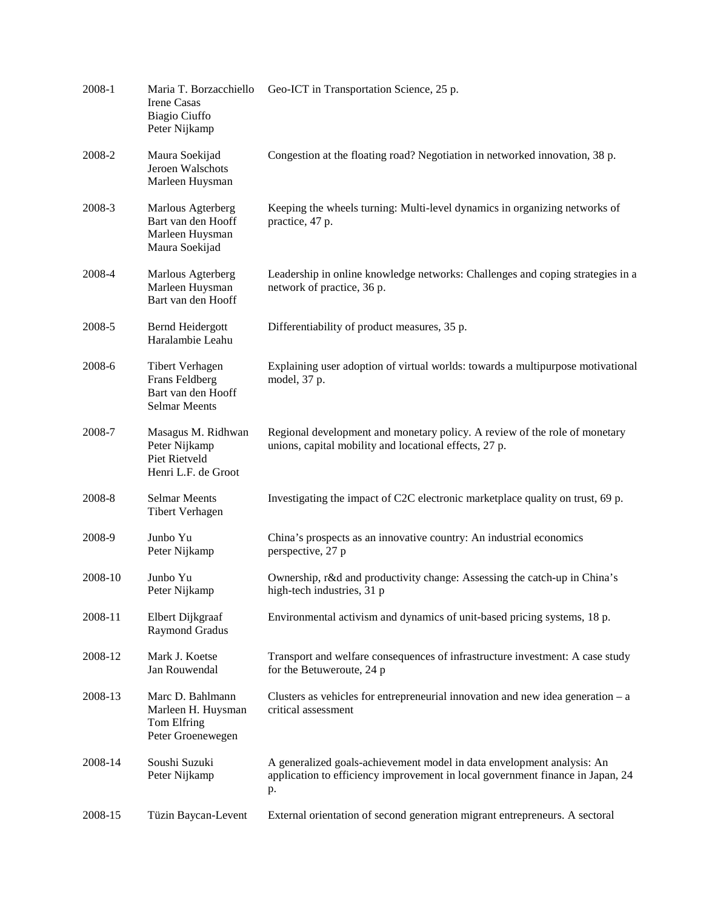| 2008-1  | Maria T. Borzacchiello<br><b>Irene Casas</b><br>Biagio Ciuffo<br>Peter Nijkamp  | Geo-ICT in Transportation Science, 25 p.                                                                                                                       |
|---------|---------------------------------------------------------------------------------|----------------------------------------------------------------------------------------------------------------------------------------------------------------|
| 2008-2  | Maura Soekijad<br>Jeroen Walschots<br>Marleen Huysman                           | Congestion at the floating road? Negotiation in networked innovation, 38 p.                                                                                    |
| 2008-3  | Marlous Agterberg<br>Bart van den Hooff<br>Marleen Huysman<br>Maura Soekijad    | Keeping the wheels turning: Multi-level dynamics in organizing networks of<br>practice, 47 p.                                                                  |
| 2008-4  | Marlous Agterberg<br>Marleen Huysman<br>Bart van den Hooff                      | Leadership in online knowledge networks: Challenges and coping strategies in a<br>network of practice, 36 p.                                                   |
| 2008-5  | Bernd Heidergott<br>Haralambie Leahu                                            | Differentiability of product measures, 35 p.                                                                                                                   |
| 2008-6  | Tibert Verhagen<br>Frans Feldberg<br>Bart van den Hooff<br><b>Selmar Meents</b> | Explaining user adoption of virtual worlds: towards a multipurpose motivational<br>model, 37 p.                                                                |
| 2008-7  | Masagus M. Ridhwan<br>Peter Nijkamp<br>Piet Rietveld<br>Henri L.F. de Groot     | Regional development and monetary policy. A review of the role of monetary<br>unions, capital mobility and locational effects, 27 p.                           |
| 2008-8  | <b>Selmar Meents</b><br>Tibert Verhagen                                         | Investigating the impact of C2C electronic marketplace quality on trust, 69 p.                                                                                 |
| 2008-9  | Junbo Yu<br>Peter Nijkamp                                                       | China's prospects as an innovative country: An industrial economics<br>perspective, 27 p                                                                       |
| 2008-10 | Junbo Yu<br>Peter Nijkamp                                                       | Ownership, r&d and productivity change: Assessing the catch-up in China's<br>high-tech industries, 31 p                                                        |
| 2008-11 | Elbert Dijkgraaf<br>Raymond Gradus                                              | Environmental activism and dynamics of unit-based pricing systems, 18 p.                                                                                       |
| 2008-12 | Mark J. Koetse<br>Jan Rouwendal                                                 | Transport and welfare consequences of infrastructure investment: A case study<br>for the Betuweroute, 24 p                                                     |
| 2008-13 | Marc D. Bahlmann<br>Marleen H. Huysman<br>Tom Elfring<br>Peter Groenewegen      | Clusters as vehicles for entrepreneurial innovation and new idea generation $- a$<br>critical assessment                                                       |
| 2008-14 | Soushi Suzuki<br>Peter Nijkamp                                                  | A generalized goals-achievement model in data envelopment analysis: An<br>application to efficiency improvement in local government finance in Japan, 24<br>p. |
| 2008-15 | Tüzin Baycan-Levent                                                             | External orientation of second generation migrant entrepreneurs. A sectoral                                                                                    |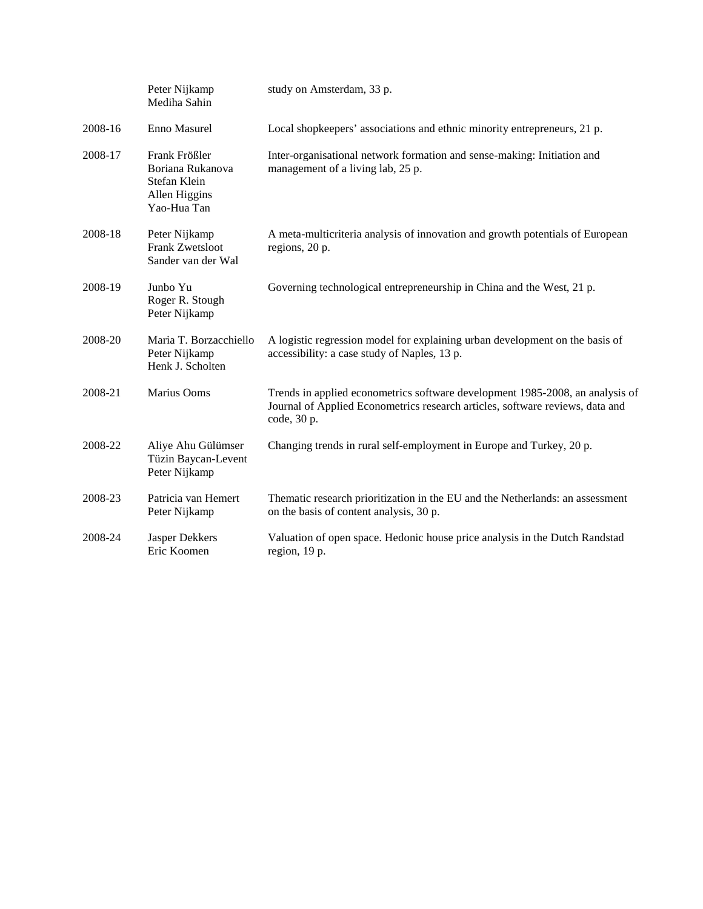|         | Peter Nijkamp<br>Mediha Sahin                                                     | study on Amsterdam, 33 p.                                                                                                                                                     |
|---------|-----------------------------------------------------------------------------------|-------------------------------------------------------------------------------------------------------------------------------------------------------------------------------|
| 2008-16 | Enno Masurel                                                                      | Local shopkeepers' associations and ethnic minority entrepreneurs, 21 p.                                                                                                      |
| 2008-17 | Frank Frößler<br>Boriana Rukanova<br>Stefan Klein<br>Allen Higgins<br>Yao-Hua Tan | Inter-organisational network formation and sense-making: Initiation and<br>management of a living lab, 25 p.                                                                  |
| 2008-18 | Peter Nijkamp<br><b>Frank Zwetsloot</b><br>Sander van der Wal                     | A meta-multicriteria analysis of innovation and growth potentials of European<br>regions, 20 p.                                                                               |
| 2008-19 | Junbo Yu<br>Roger R. Stough<br>Peter Nijkamp                                      | Governing technological entrepreneurship in China and the West, 21 p.                                                                                                         |
| 2008-20 | Maria T. Borzacchiello<br>Peter Nijkamp<br>Henk J. Scholten                       | A logistic regression model for explaining urban development on the basis of<br>accessibility: a case study of Naples, 13 p.                                                  |
| 2008-21 | Marius Ooms                                                                       | Trends in applied econometrics software development 1985-2008, an analysis of<br>Journal of Applied Econometrics research articles, software reviews, data and<br>code, 30 p. |
| 2008-22 | Aliye Ahu Gülümser<br>Tüzin Baycan-Levent<br>Peter Nijkamp                        | Changing trends in rural self-employment in Europe and Turkey, 20 p.                                                                                                          |
| 2008-23 | Patricia van Hemert<br>Peter Nijkamp                                              | Thematic research prioritization in the EU and the Netherlands: an assessment<br>on the basis of content analysis, 30 p.                                                      |
| 2008-24 | Jasper Dekkers<br>Eric Koomen                                                     | Valuation of open space. Hedonic house price analysis in the Dutch Randstad<br>region, 19 p.                                                                                  |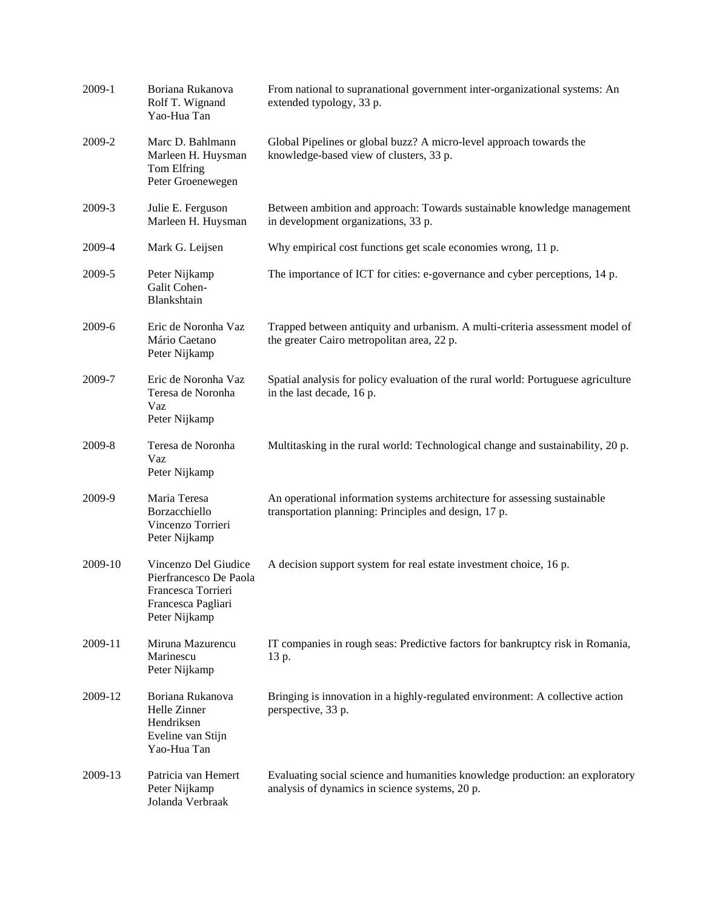| 2009-1  | Boriana Rukanova<br>Rolf T. Wignand<br>Yao-Hua Tan                                                          | From national to supranational government inter-organizational systems: An<br>extended typology, 33 p.                             |
|---------|-------------------------------------------------------------------------------------------------------------|------------------------------------------------------------------------------------------------------------------------------------|
| 2009-2  | Marc D. Bahlmann<br>Marleen H. Huysman<br>Tom Elfring<br>Peter Groenewegen                                  | Global Pipelines or global buzz? A micro-level approach towards the<br>knowledge-based view of clusters, 33 p.                     |
| 2009-3  | Julie E. Ferguson<br>Marleen H. Huysman                                                                     | Between ambition and approach: Towards sustainable knowledge management<br>in development organizations, 33 p.                     |
| 2009-4  | Mark G. Leijsen                                                                                             | Why empirical cost functions get scale economies wrong, 11 p.                                                                      |
| 2009-5  | Peter Nijkamp<br>Galit Cohen-<br>Blankshtain                                                                | The importance of ICT for cities: e-governance and cyber perceptions, 14 p.                                                        |
| 2009-6  | Eric de Noronha Vaz<br>Mário Caetano<br>Peter Nijkamp                                                       | Trapped between antiquity and urbanism. A multi-criteria assessment model of<br>the greater Cairo metropolitan area, 22 p.         |
| 2009-7  | Eric de Noronha Vaz<br>Teresa de Noronha<br>Vaz<br>Peter Nijkamp                                            | Spatial analysis for policy evaluation of the rural world: Portuguese agriculture<br>in the last decade, 16 p.                     |
| 2009-8  | Teresa de Noronha<br>Vaz<br>Peter Nijkamp                                                                   | Multitasking in the rural world: Technological change and sustainability, 20 p.                                                    |
| 2009-9  | Maria Teresa<br>Borzacchiello<br>Vincenzo Torrieri<br>Peter Nijkamp                                         | An operational information systems architecture for assessing sustainable<br>transportation planning: Principles and design, 17 p. |
| 2009-10 | Vincenzo Del Giudice<br>Pierfrancesco De Paola<br>Francesca Torrieri<br>Francesca Pagliari<br>Peter Nijkamp | A decision support system for real estate investment choice, 16 p.                                                                 |
| 2009-11 | Miruna Mazurencu<br>Marinescu<br>Peter Nijkamp                                                              | IT companies in rough seas: Predictive factors for bankruptcy risk in Romania,<br>13 p.                                            |
| 2009-12 | Boriana Rukanova<br>Helle Zinner<br>Hendriksen<br>Eveline van Stijn<br>Yao-Hua Tan                          | Bringing is innovation in a highly-regulated environment: A collective action<br>perspective, 33 p.                                |
| 2009-13 | Patricia van Hemert<br>Peter Nijkamp<br>Jolanda Verbraak                                                    | Evaluating social science and humanities knowledge production: an exploratory<br>analysis of dynamics in science systems, 20 p.    |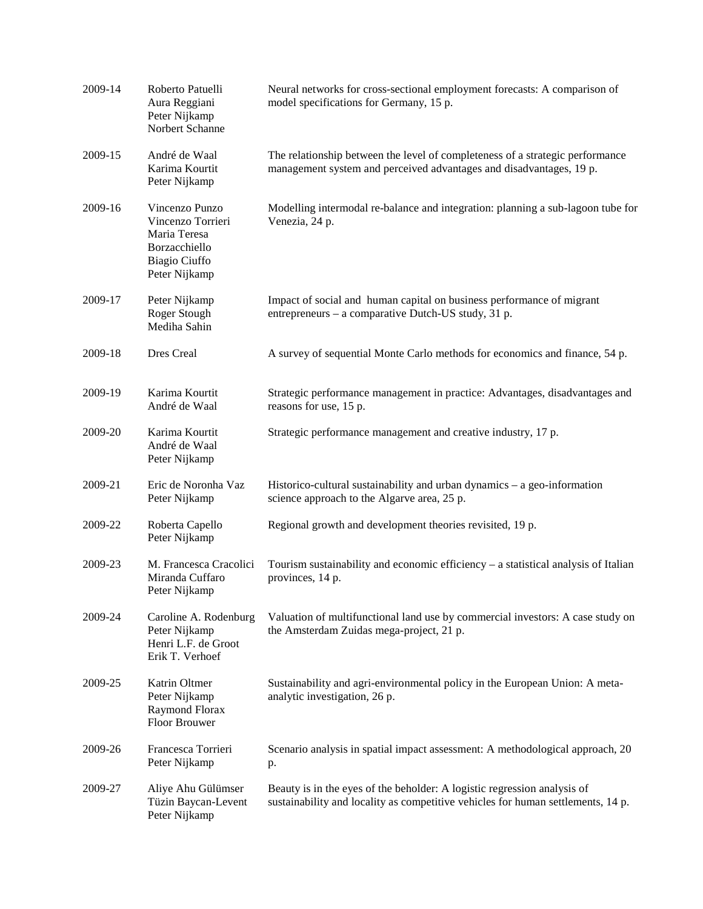| 2009-14 | Roberto Patuelli<br>Aura Reggiani<br>Peter Nijkamp<br>Norbert Schanne                                  | Neural networks for cross-sectional employment forecasts: A comparison of<br>model specifications for Germany, 15 p.                                         |
|---------|--------------------------------------------------------------------------------------------------------|--------------------------------------------------------------------------------------------------------------------------------------------------------------|
| 2009-15 | André de Waal<br>Karima Kourtit<br>Peter Nijkamp                                                       | The relationship between the level of completeness of a strategic performance<br>management system and perceived advantages and disadvantages, 19 p.         |
| 2009-16 | Vincenzo Punzo<br>Vincenzo Torrieri<br>Maria Teresa<br>Borzacchiello<br>Biagio Ciuffo<br>Peter Nijkamp | Modelling intermodal re-balance and integration: planning a sub-lagoon tube for<br>Venezia, 24 p.                                                            |
| 2009-17 | Peter Nijkamp<br>Roger Stough<br>Mediha Sahin                                                          | Impact of social and human capital on business performance of migrant<br>entrepreneurs - a comparative Dutch-US study, 31 p.                                 |
| 2009-18 | Dres Creal                                                                                             | A survey of sequential Monte Carlo methods for economics and finance, 54 p.                                                                                  |
| 2009-19 | Karima Kourtit<br>André de Waal                                                                        | Strategic performance management in practice: Advantages, disadvantages and<br>reasons for use, 15 p.                                                        |
| 2009-20 | Karima Kourtit<br>André de Waal<br>Peter Nijkamp                                                       | Strategic performance management and creative industry, 17 p.                                                                                                |
| 2009-21 | Eric de Noronha Vaz<br>Peter Nijkamp                                                                   | Historico-cultural sustainability and urban dynamics $-$ a geo-information<br>science approach to the Algarve area, 25 p.                                    |
| 2009-22 | Roberta Capello<br>Peter Nijkamp                                                                       | Regional growth and development theories revisited, 19 p.                                                                                                    |
| 2009-23 | M. Francesca Cracolici<br>Miranda Cuffaro<br>Peter Nijkamp                                             | Tourism sustainability and economic efficiency – a statistical analysis of Italian<br>provinces, 14 p.                                                       |
| 2009-24 | Caroline A. Rodenburg<br>Peter Nijkamp<br>Henri L.F. de Groot<br>Erik T. Verhoef                       | Valuation of multifunctional land use by commercial investors: A case study on<br>the Amsterdam Zuidas mega-project, 21 p.                                   |
| 2009-25 | Katrin Oltmer<br>Peter Nijkamp<br>Raymond Florax<br>Floor Brouwer                                      | Sustainability and agri-environmental policy in the European Union: A meta-<br>analytic investigation, 26 p.                                                 |
| 2009-26 | Francesca Torrieri<br>Peter Nijkamp                                                                    | Scenario analysis in spatial impact assessment: A methodological approach, 20<br>p.                                                                          |
| 2009-27 | Aliye Ahu Gülümser<br>Tüzin Baycan-Levent<br>Peter Nijkamp                                             | Beauty is in the eyes of the beholder: A logistic regression analysis of<br>sustainability and locality as competitive vehicles for human settlements, 14 p. |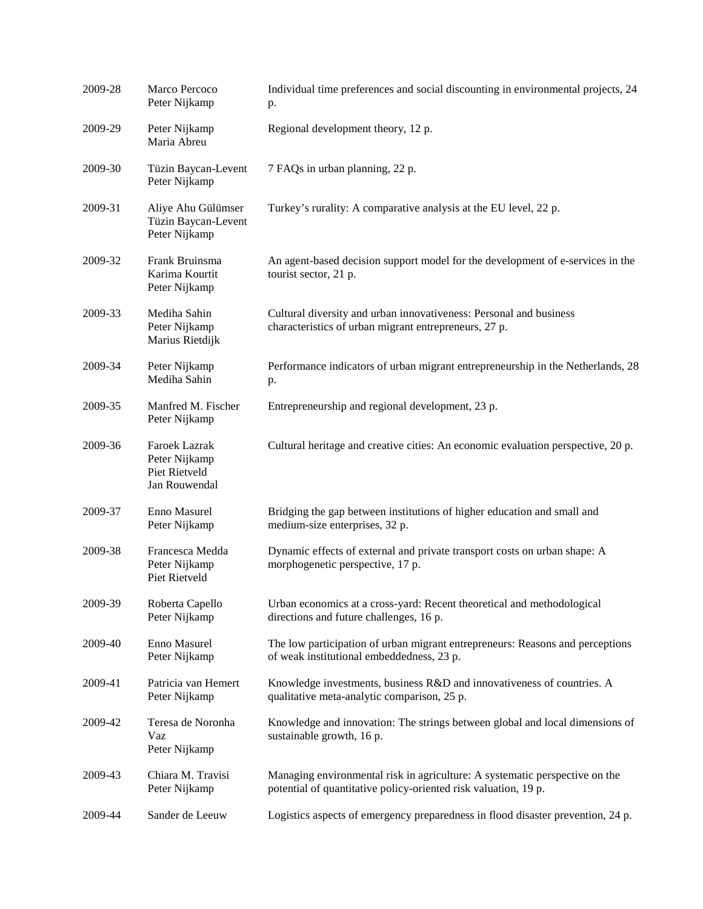| 2009-28 | Marco Percoco<br>Peter Nijkamp                                   | Individual time preferences and social discounting in environmental projects, 24<br>p.                                                         |
|---------|------------------------------------------------------------------|------------------------------------------------------------------------------------------------------------------------------------------------|
| 2009-29 | Peter Nijkamp<br>Maria Abreu                                     | Regional development theory, 12 p.                                                                                                             |
| 2009-30 | Tüzin Baycan-Levent<br>Peter Nijkamp                             | 7 FAQs in urban planning, 22 p.                                                                                                                |
| 2009-31 | Aliye Ahu Gülümser<br>Tüzin Baycan-Levent<br>Peter Nijkamp       | Turkey's rurality: A comparative analysis at the EU level, 22 p.                                                                               |
| 2009-32 | Frank Bruinsma<br>Karima Kourtit<br>Peter Nijkamp                | An agent-based decision support model for the development of e-services in the<br>tourist sector, 21 p.                                        |
| 2009-33 | Mediha Sahin<br>Peter Nijkamp<br>Marius Rietdijk                 | Cultural diversity and urban innovativeness: Personal and business<br>characteristics of urban migrant entrepreneurs, 27 p.                    |
| 2009-34 | Peter Nijkamp<br>Mediha Sahin                                    | Performance indicators of urban migrant entrepreneurship in the Netherlands, 28<br>p.                                                          |
| 2009-35 | Manfred M. Fischer<br>Peter Nijkamp                              | Entrepreneurship and regional development, 23 p.                                                                                               |
| 2009-36 | Faroek Lazrak<br>Peter Nijkamp<br>Piet Rietveld<br>Jan Rouwendal | Cultural heritage and creative cities: An economic evaluation perspective, 20 p.                                                               |
| 2009-37 | Enno Masurel<br>Peter Nijkamp                                    | Bridging the gap between institutions of higher education and small and<br>medium-size enterprises, 32 p.                                      |
| 2009-38 | Francesca Medda<br>Peter Nijkamp<br>Piet Rietveld                | Dynamic effects of external and private transport costs on urban shape: A<br>morphogenetic perspective, 17 p.                                  |
| 2009-39 | Roberta Capello<br>Peter Nijkamp                                 | Urban economics at a cross-yard: Recent theoretical and methodological<br>directions and future challenges, 16 p.                              |
| 2009-40 | Enno Masurel<br>Peter Nijkamp                                    | The low participation of urban migrant entrepreneurs: Reasons and perceptions<br>of weak institutional embeddedness, 23 p.                     |
| 2009-41 | Patricia van Hemert<br>Peter Nijkamp                             | Knowledge investments, business R&D and innovativeness of countries. A<br>qualitative meta-analytic comparison, 25 p.                          |
| 2009-42 | Teresa de Noronha<br>Vaz<br>Peter Nijkamp                        | Knowledge and innovation: The strings between global and local dimensions of<br>sustainable growth, 16 p.                                      |
| 2009-43 | Chiara M. Travisi<br>Peter Nijkamp                               | Managing environmental risk in agriculture: A systematic perspective on the<br>potential of quantitative policy-oriented risk valuation, 19 p. |
| 2009-44 | Sander de Leeuw                                                  | Logistics aspects of emergency preparedness in flood disaster prevention, 24 p.                                                                |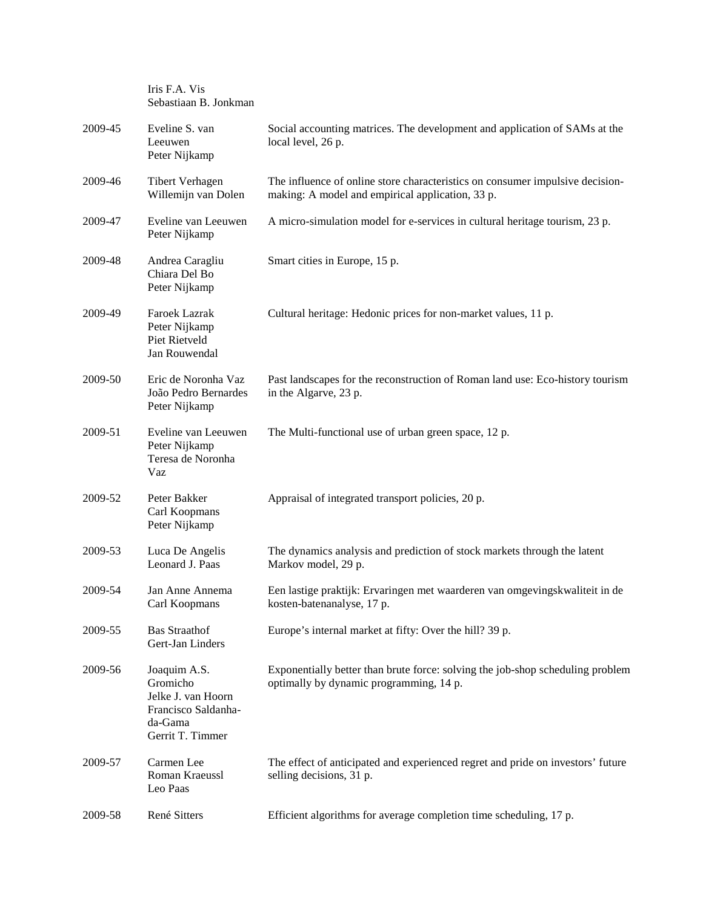|         | Sebastiaan B. Jonkman                                                                                |                                                                                                                                   |
|---------|------------------------------------------------------------------------------------------------------|-----------------------------------------------------------------------------------------------------------------------------------|
| 2009-45 | Eveline S. van<br>Leeuwen<br>Peter Nijkamp                                                           | Social accounting matrices. The development and application of SAMs at the<br>local level, 26 p.                                  |
| 2009-46 | <b>Tibert Verhagen</b><br>Willemijn van Dolen                                                        | The influence of online store characteristics on consumer impulsive decision-<br>making: A model and empirical application, 33 p. |
| 2009-47 | Eveline van Leeuwen<br>Peter Nijkamp                                                                 | A micro-simulation model for e-services in cultural heritage tourism, 23 p.                                                       |
| 2009-48 | Andrea Caragliu<br>Chiara Del Bo<br>Peter Nijkamp                                                    | Smart cities in Europe, 15 p.                                                                                                     |
| 2009-49 | Faroek Lazrak<br>Peter Nijkamp<br><b>Piet Rietveld</b><br>Jan Rouwendal                              | Cultural heritage: Hedonic prices for non-market values, 11 p.                                                                    |
| 2009-50 | Eric de Noronha Vaz<br>João Pedro Bernardes<br>Peter Nijkamp                                         | Past landscapes for the reconstruction of Roman land use: Eco-history tourism<br>in the Algarve, 23 p.                            |
| 2009-51 | Eveline van Leeuwen<br>Peter Nijkamp<br>Teresa de Noronha<br>Vaz                                     | The Multi-functional use of urban green space, 12 p.                                                                              |
| 2009-52 | Peter Bakker<br>Carl Koopmans<br>Peter Nijkamp                                                       | Appraisal of integrated transport policies, 20 p.                                                                                 |
| 2009-53 | Luca De Angelis<br>Leonard J. Paas                                                                   | The dynamics analysis and prediction of stock markets through the latent<br>Markov model, 29 p.                                   |
| 2009-54 | Jan Anne Annema<br>Carl Koopmans                                                                     | Een lastige praktijk: Ervaringen met waarderen van omgevingskwaliteit in de<br>kosten-batenanalyse, 17 p.                         |
| 2009-55 | <b>Bas Straathof</b><br>Gert-Jan Linders                                                             | Europe's internal market at fifty: Over the hill? 39 p.                                                                           |
| 2009-56 | Joaquim A.S.<br>Gromicho<br>Jelke J. van Hoorn<br>Francisco Saldanha-<br>da-Gama<br>Gerrit T. Timmer | Exponentially better than brute force: solving the job-shop scheduling problem<br>optimally by dynamic programming, 14 p.         |
| 2009-57 | Carmen Lee<br>Roman Kraeussl<br>Leo Paas                                                             | The effect of anticipated and experienced regret and pride on investors' future<br>selling decisions, 31 p.                       |
| 2009-58 | René Sitters                                                                                         | Efficient algorithms for average completion time scheduling, 17 p.                                                                |

Iris F.A. Vis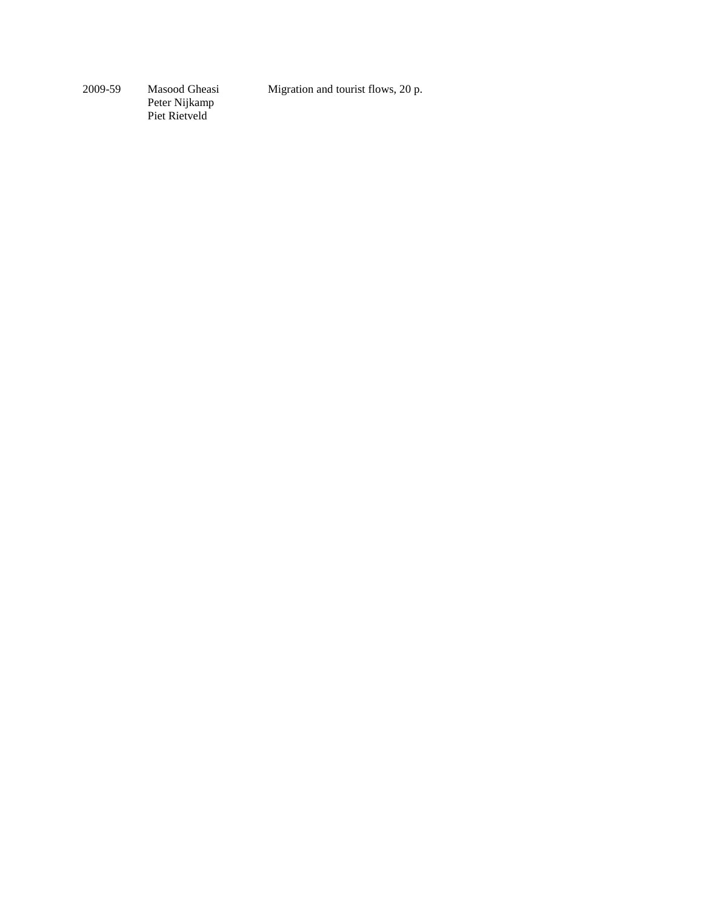Migration and tourist flows, 20 p.

2009-59 Masood Gheasi Peter Nijkamp Piet Rietveld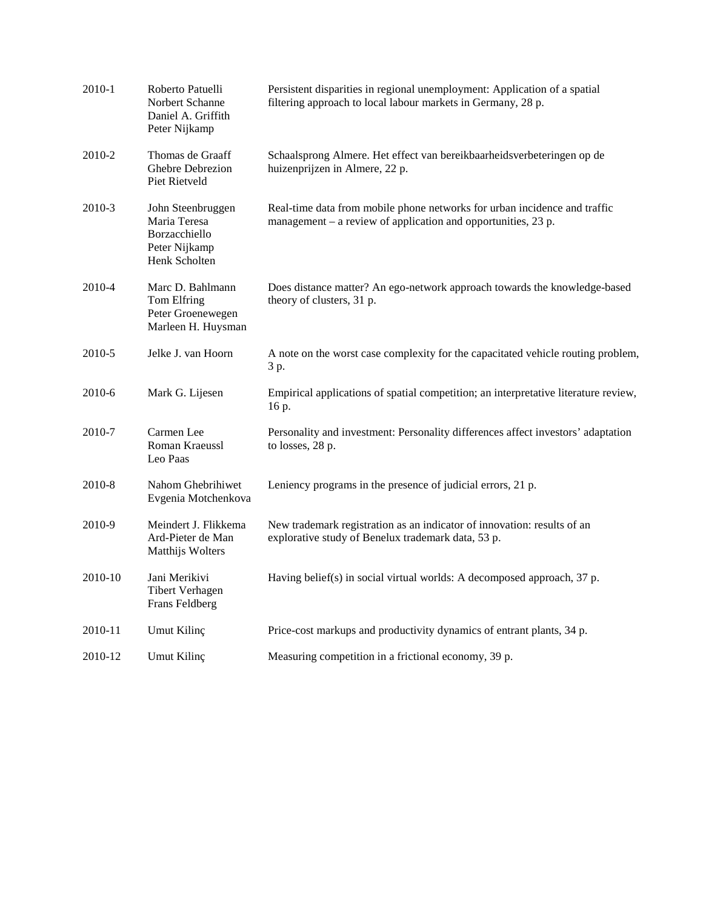| 2010-1  | Roberto Patuelli<br>Norbert Schanne<br>Daniel A. Griffith<br>Peter Nijkamp           | Persistent disparities in regional unemployment: Application of a spatial<br>filtering approach to local labour markets in Germany, 28 p.    |
|---------|--------------------------------------------------------------------------------------|----------------------------------------------------------------------------------------------------------------------------------------------|
| 2010-2  | Thomas de Graaff<br>Ghebre Debrezion<br>Piet Rietveld                                | Schaalsprong Almere. Het effect van bereikbaarheidsverbeteringen op de<br>huizenprijzen in Almere, 22 p.                                     |
| 2010-3  | John Steenbruggen<br>Maria Teresa<br>Borzacchiello<br>Peter Nijkamp<br>Henk Scholten | Real-time data from mobile phone networks for urban incidence and traffic<br>management $-$ a review of application and opportunities, 23 p. |
| 2010-4  | Marc D. Bahlmann<br>Tom Elfring<br>Peter Groenewegen<br>Marleen H. Huysman           | Does distance matter? An ego-network approach towards the knowledge-based<br>theory of clusters, 31 p.                                       |
| 2010-5  | Jelke J. van Hoorn                                                                   | A note on the worst case complexity for the capacitated vehicle routing problem,<br>3 p.                                                     |
| 2010-6  | Mark G. Lijesen                                                                      | Empirical applications of spatial competition; an interpretative literature review,<br>16 p.                                                 |
| 2010-7  | Carmen Lee<br>Roman Kraeussl<br>Leo Paas                                             | Personality and investment: Personality differences affect investors' adaptation<br>to losses, 28 p.                                         |
| 2010-8  | Nahom Ghebrihiwet<br>Evgenia Motchenkova                                             | Leniency programs in the presence of judicial errors, 21 p.                                                                                  |
| 2010-9  | Meindert J. Flikkema<br>Ard-Pieter de Man<br>Matthijs Wolters                        | New trademark registration as an indicator of innovation: results of an<br>explorative study of Benelux trademark data, 53 p.                |
| 2010-10 | Jani Merikivi<br><b>Tibert Verhagen</b><br>Frans Feldberg                            | Having belief(s) in social virtual worlds: A decomposed approach, 37 p.                                                                      |
| 2010-11 | Umut Kilinç                                                                          | Price-cost markups and productivity dynamics of entrant plants, 34 p.                                                                        |
| 2010-12 | Umut Kilinç                                                                          | Measuring competition in a frictional economy, 39 p.                                                                                         |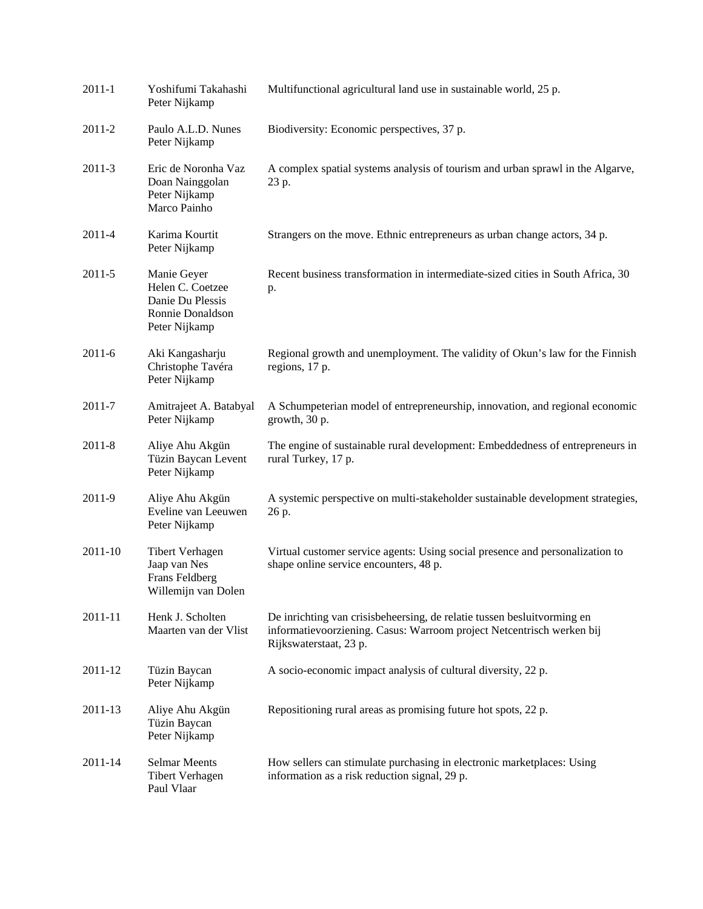| $2011 - 1$ | Yoshifumi Takahashi<br>Peter Nijkamp                                                     | Multifunctional agricultural land use in sustainable world, 25 p.                                                                                                          |
|------------|------------------------------------------------------------------------------------------|----------------------------------------------------------------------------------------------------------------------------------------------------------------------------|
| 2011-2     | Paulo A.L.D. Nunes<br>Peter Nijkamp                                                      | Biodiversity: Economic perspectives, 37 p.                                                                                                                                 |
| $2011 - 3$ | Eric de Noronha Vaz<br>Doan Nainggolan<br>Peter Nijkamp<br>Marco Painho                  | A complex spatial systems analysis of tourism and urban sprawl in the Algarve,<br>23 p.                                                                                    |
| 2011-4     | Karima Kourtit<br>Peter Nijkamp                                                          | Strangers on the move. Ethnic entrepreneurs as urban change actors, 34 p.                                                                                                  |
| 2011-5     | Manie Geyer<br>Helen C. Coetzee<br>Danie Du Plessis<br>Ronnie Donaldson<br>Peter Nijkamp | Recent business transformation in intermediate-sized cities in South Africa, 30<br>p.                                                                                      |
| $2011 - 6$ | Aki Kangasharju<br>Christophe Tavéra<br>Peter Nijkamp                                    | Regional growth and unemployment. The validity of Okun's law for the Finnish<br>regions, 17 p.                                                                             |
| 2011-7     | Amitrajeet A. Batabyal<br>Peter Nijkamp                                                  | A Schumpeterian model of entrepreneurship, innovation, and regional economic<br>growth, 30 p.                                                                              |
| $2011 - 8$ | Aliye Ahu Akgün<br>Tüzin Baycan Levent<br>Peter Nijkamp                                  | The engine of sustainable rural development: Embeddedness of entrepreneurs in<br>rural Turkey, 17 p.                                                                       |
| 2011-9     | Aliye Ahu Akgün<br>Eveline van Leeuwen<br>Peter Nijkamp                                  | A systemic perspective on multi-stakeholder sustainable development strategies,<br>26 p.                                                                                   |
| 2011-10    | <b>Tibert Verhagen</b><br>Jaap van Nes<br>Frans Feldberg<br>Willemijn van Dolen          | Virtual customer service agents: Using social presence and personalization to<br>shape online service encounters, 48 p.                                                    |
| 2011-11    | Henk J. Scholten<br>Maarten van der Vlist                                                | De inrichting van crisisbeheersing, de relatie tussen besluitvorming en<br>informatievoorziening. Casus: Warroom project Netcentrisch werken bij<br>Rijkswaterstaat, 23 p. |
| 2011-12    | Tüzin Baycan<br>Peter Nijkamp                                                            | A socio-economic impact analysis of cultural diversity, 22 p.                                                                                                              |
| 2011-13    | Aliye Ahu Akgün<br>Tüzin Baycan<br>Peter Nijkamp                                         | Repositioning rural areas as promising future hot spots, 22 p.                                                                                                             |
| 2011-14    | <b>Selmar Meents</b><br><b>Tibert Verhagen</b><br>Paul Vlaar                             | How sellers can stimulate purchasing in electronic marketplaces: Using<br>information as a risk reduction signal, 29 p.                                                    |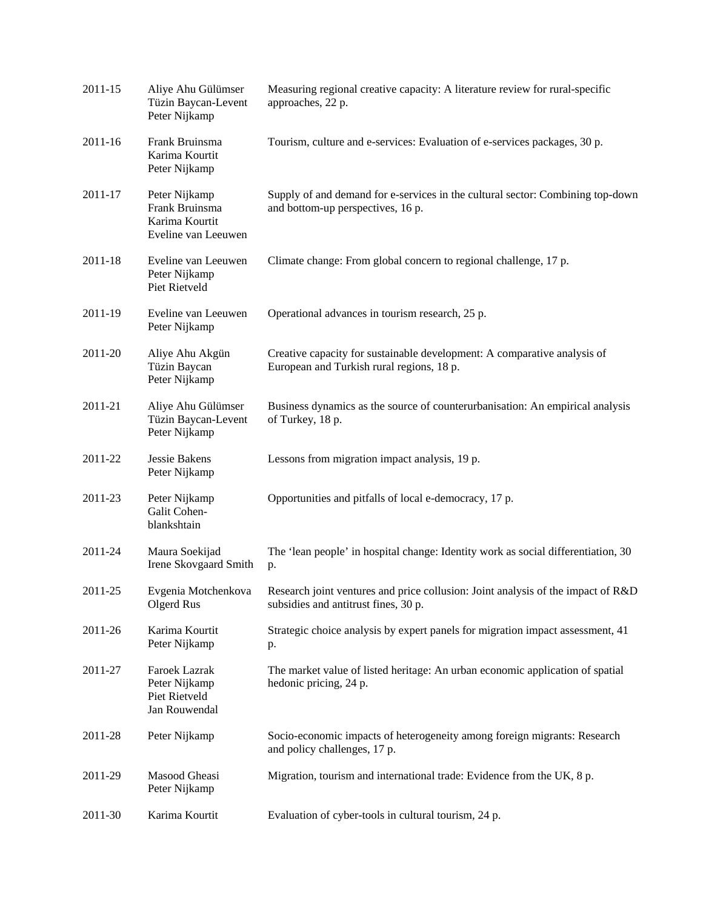| 2011-15 | Aliye Ahu Gülümser<br>Tüzin Baycan-Levent<br>Peter Nijkamp               | Measuring regional creative capacity: A literature review for rural-specific<br>approaches, 22 p.                        |
|---------|--------------------------------------------------------------------------|--------------------------------------------------------------------------------------------------------------------------|
| 2011-16 | Frank Bruinsma<br>Karima Kourtit<br>Peter Nijkamp                        | Tourism, culture and e-services: Evaluation of e-services packages, 30 p.                                                |
| 2011-17 | Peter Nijkamp<br>Frank Bruinsma<br>Karima Kourtit<br>Eveline van Leeuwen | Supply of and demand for e-services in the cultural sector: Combining top-down<br>and bottom-up perspectives, 16 p.      |
| 2011-18 | Eveline van Leeuwen<br>Peter Nijkamp<br>Piet Rietveld                    | Climate change: From global concern to regional challenge, 17 p.                                                         |
| 2011-19 | Eveline van Leeuwen<br>Peter Nijkamp                                     | Operational advances in tourism research, 25 p.                                                                          |
| 2011-20 | Aliye Ahu Akgün<br>Tüzin Baycan<br>Peter Nijkamp                         | Creative capacity for sustainable development: A comparative analysis of<br>European and Turkish rural regions, 18 p.    |
| 2011-21 | Aliye Ahu Gülümser<br>Tüzin Baycan-Levent<br>Peter Nijkamp               | Business dynamics as the source of counterurbanisation: An empirical analysis<br>of Turkey, 18 p.                        |
| 2011-22 | Jessie Bakens<br>Peter Nijkamp                                           | Lessons from migration impact analysis, 19 p.                                                                            |
| 2011-23 | Peter Nijkamp<br>Galit Cohen-<br>blankshtain                             | Opportunities and pitfalls of local e-democracy, 17 p.                                                                   |
| 2011-24 | Maura Soekijad<br>Irene Skovgaard Smith                                  | The 'lean people' in hospital change: Identity work as social differentiation, 30<br>p.                                  |
| 2011-25 | Evgenia Motchenkova<br>Olgerd Rus                                        | Research joint ventures and price collusion: Joint analysis of the impact of R&D<br>subsidies and antitrust fines, 30 p. |
| 2011-26 | Karima Kourtit<br>Peter Nijkamp                                          | Strategic choice analysis by expert panels for migration impact assessment, 41<br>p.                                     |
| 2011-27 | Faroek Lazrak<br>Peter Nijkamp<br>Piet Rietveld<br>Jan Rouwendal         | The market value of listed heritage: An urban economic application of spatial<br>hedonic pricing, 24 p.                  |
| 2011-28 | Peter Nijkamp                                                            | Socio-economic impacts of heterogeneity among foreign migrants: Research<br>and policy challenges, 17 p.                 |
| 2011-29 | Masood Gheasi<br>Peter Nijkamp                                           | Migration, tourism and international trade: Evidence from the UK, 8 p.                                                   |
| 2011-30 | Karima Kourtit                                                           | Evaluation of cyber-tools in cultural tourism, 24 p.                                                                     |